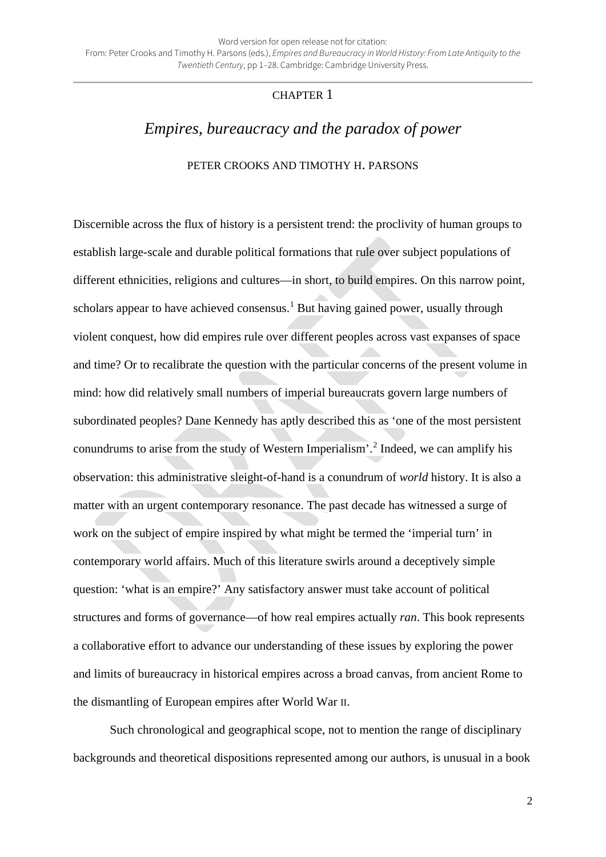# CHAPTER 1

# *Empires, bureaucracy and the paradox of power*

## PETER CROOKS AND TIMOTHY H. PARSONS

Discernible across the flux of history is a persistent trend: the proclivity of human groups to establish large-scale and durable political formations that rule over subject populations of different ethnicities, religions and cultures—in short, to build empires. On this narrow point, scholars appear to have achieved consensus.<sup>[1](#page-27-0)</sup> But having gained power, usually through violent conquest, how did empires rule over different peoples across vast expanses of space and time? Or to recalibrate the question with the particular concerns of the present volume in mind: how did relatively small numbers of imperial bureaucrats govern large numbers of subordinated peoples? Dane Kennedy has aptly described this as 'one of the most persistent conundrums to arise from the study of Western Imperialism'.<sup>[2](#page-27-1)</sup> Indeed, we can amplify his observation: this administrative sleight-of-hand is a conundrum of *world* history. It is also a matter with an urgent contemporary resonance. The past decade has witnessed a surge of work on the subject of empire inspired by what might be termed the 'imperial turn' in contemporary world affairs. Much of this literature swirls around a deceptively simple question: 'what is an empire?' Any satisfactory answer must take account of political structures and forms of governance—of how real empires actually *ran*. This book represents a collaborative effort to advance our understanding of these issues by exploring the power and limits of bureaucracy in historical empires across a broad canvas, from ancient Rome to the dismantling of European empires after World War II.

Such chronological and geographical scope, not to mention the range of disciplinary backgrounds and theoretical dispositions represented among our authors, is unusual in a book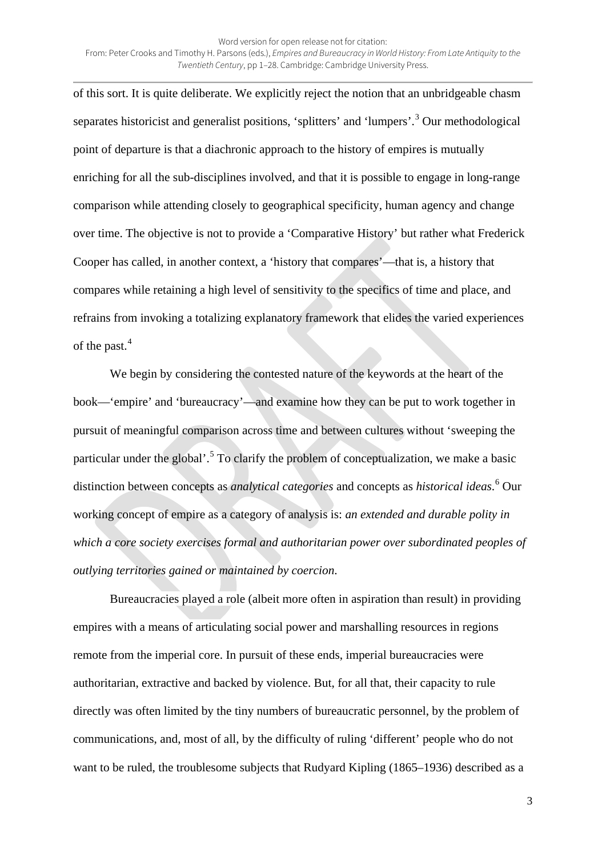of this sort. It is quite deliberate. We explicitly reject the notion that an unbridgeable chasm separates historicist and generalist positions, 'splitters' and 'lumpers'.[3](#page-28-0) Our methodological point of departure is that a diachronic approach to the history of empires is mutually enriching for all the sub-disciplines involved, and that it is possible to engage in long-range comparison while attending closely to geographical specificity, human agency and change over time. The objective is not to provide a 'Comparative History' but rather what Frederick Cooper has called, in another context, a 'history that compares'—that is, a history that compares while retaining a high level of sensitivity to the specifics of time and place, and refrains from invoking a totalizing explanatory framework that elides the varied experiences of the past.<sup>[4](#page-28-1)</sup>

We begin by considering the contested nature of the keywords at the heart of the book—'empire' and 'bureaucracy'—and examine how they can be put to work together in pursuit of meaningful comparison across time and between cultures without 'sweeping the particular under the global'.<sup>[5](#page-28-2)</sup> To clarify the problem of conceptualization, we make a basic distinction between concepts as *analytical categories* and concepts as *historical ideas*. [6](#page-28-3) Our working concept of empire as a category of analysis is: *an extended and durable polity in which a core society exercises formal and authoritarian power over subordinated peoples of outlying territories gained or maintained by coercion*.

Bureaucracies played a role (albeit more often in aspiration than result) in providing empires with a means of articulating social power and marshalling resources in regions remote from the imperial core. In pursuit of these ends, imperial bureaucracies were authoritarian, extractive and backed by violence. But, for all that, their capacity to rule directly was often limited by the tiny numbers of bureaucratic personnel, by the problem of communications, and, most of all, by the difficulty of ruling 'different' people who do not want to be ruled, the troublesome subjects that Rudyard Kipling (1865–1936) described as a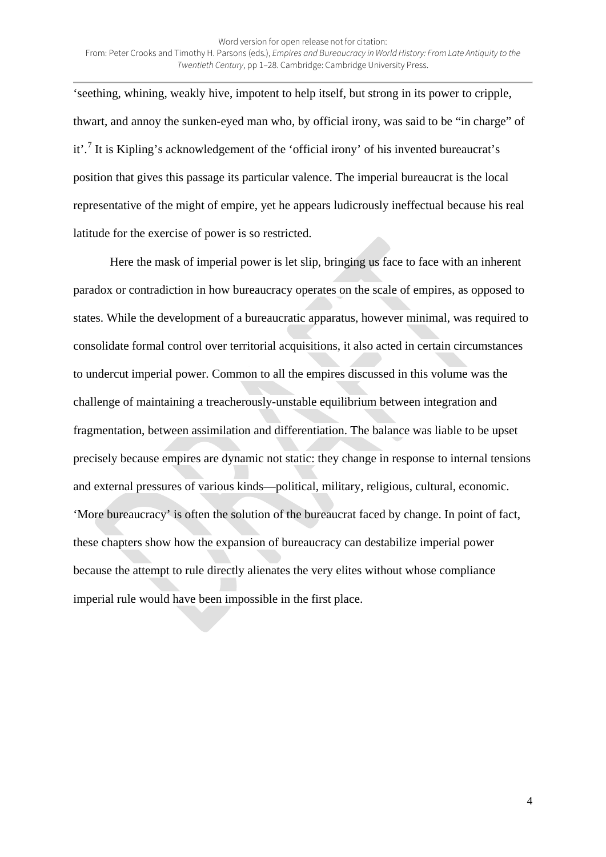'seething, whining, weakly hive, impotent to help itself, but strong in its power to cripple, thwart, and annoy the sunken-eyed man who, by official irony, was said to be "in charge" of it'.<sup>[7](#page-29-0)</sup> It is Kipling's acknowledgement of the 'official irony' of his invented bureaucrat's position that gives this passage its particular valence. The imperial bureaucrat is the local representative of the might of empire, yet he appears ludicrously ineffectual because his real latitude for the exercise of power is so restricted.

Here the mask of imperial power is let slip, bringing us face to face with an inherent paradox or contradiction in how bureaucracy operates on the scale of empires, as opposed to states. While the development of a bureaucratic apparatus, however minimal, was required to consolidate formal control over territorial acquisitions, it also acted in certain circumstances to undercut imperial power. Common to all the empires discussed in this volume was the challenge of maintaining a treacherously-unstable equilibrium between integration and fragmentation, between assimilation and differentiation. The balance was liable to be upset precisely because empires are dynamic not static: they change in response to internal tensions and external pressures of various kinds—political, military, religious, cultural, economic. 'More bureaucracy' is often the solution of the bureaucrat faced by change. In point of fact, these chapters show how the expansion of bureaucracy can destabilize imperial power because the attempt to rule directly alienates the very elites without whose compliance imperial rule would have been impossible in the first place.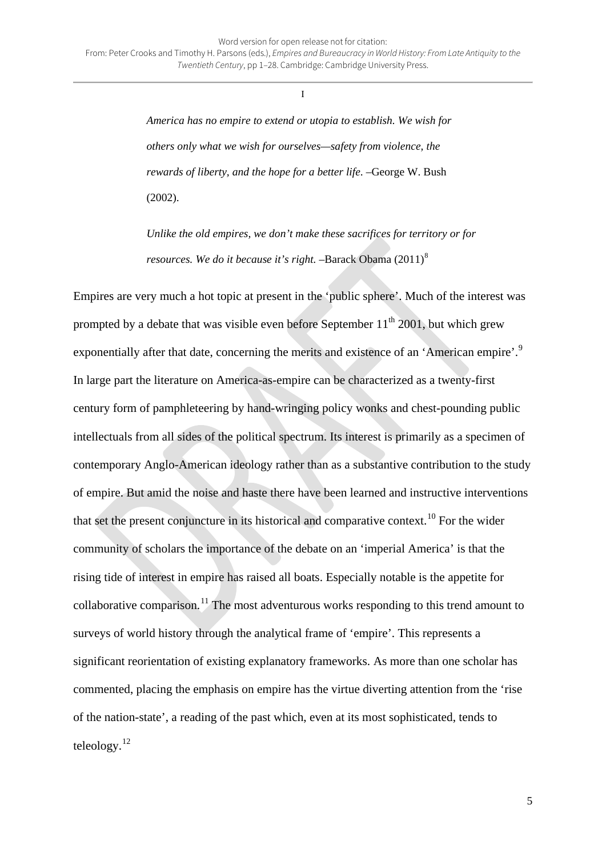I

*America has no empire to extend or utopia to establish. We wish for others only what we wish for ourselves—safety from violence, the rewards of liberty, and the hope for a better life*. –George W. Bush (2002).

*Unlike the old empires, we don't make these sacrifices for territory or for resources. We do it because it's right.* –Barack Obama (2011)<sup>[8](#page-29-1)</sup>

Empires are very much a hot topic at present in the 'public sphere'. Much of the interest was prompted by a debate that was visible even before September  $11<sup>th</sup>$  2001, but which grew exponentially after that date, concerning the merits and existence of an 'American empire'.<sup>[9](#page-29-2)</sup> In large part the literature on America-as-empire can be characterized as a twenty-first century form of pamphleteering by hand-wringing policy wonks and chest-pounding public intellectuals from all sides of the political spectrum. Its interest is primarily as a specimen of contemporary Anglo-American ideology rather than as a substantive contribution to the study of empire. But amid the noise and haste there have been learned and instructive interventions that set the present conjuncture in its historical and comparative context.<sup>[10](#page-29-3)</sup> For the wider community of scholars the importance of the debate on an 'imperial America' is that the rising tide of interest in empire has raised all boats. Especially notable is the appetite for collaborative comparison.<sup>[11](#page-29-4)</sup> The most adventurous works responding to this trend amount to surveys of world history through the analytical frame of 'empire'. This represents a significant reorientation of existing explanatory frameworks. As more than one scholar has commented, placing the emphasis on empire has the virtue diverting attention from the 'rise of the nation-state', a reading of the past which, even at its most sophisticated, tends to teleology. $12$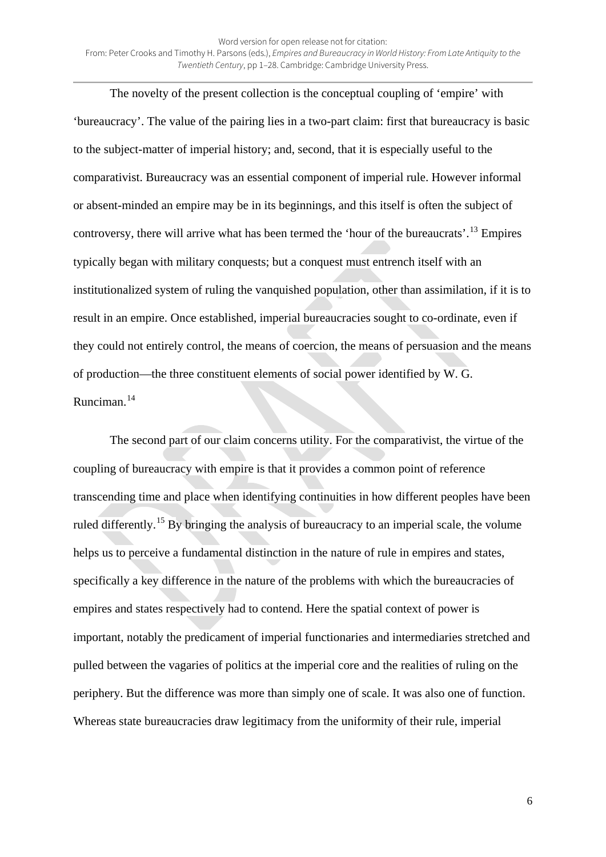The novelty of the present collection is the conceptual coupling of 'empire' with 'bureaucracy'. The value of the pairing lies in a two-part claim: first that bureaucracy is basic to the subject-matter of imperial history; and, second, that it is especially useful to the comparativist. Bureaucracy was an essential component of imperial rule. However informal or absent-minded an empire may be in its beginnings, and this itself is often the subject of controversy, there will arrive what has been termed the 'hour of the bureaucrats'.<sup>[13](#page-30-0)</sup> Empires typically began with military conquests; but a conquest must entrench itself with an institutionalized system of ruling the vanquished population, other than assimilation, if it is to result in an empire. Once established, imperial bureaucracies sought to co-ordinate, even if they could not entirely control, the means of coercion, the means of persuasion and the means of production—the three constituent elements of social power identified by W. G. Runciman. [14](#page-30-1)

The second part of our claim concerns utility. For the comparativist, the virtue of the coupling of bureaucracy with empire is that it provides a common point of reference transcending time and place when identifying continuities in how different peoples have been ruled differently.<sup>[15](#page-30-2)</sup> By bringing the analysis of bureaucracy to an imperial scale, the volume helps us to perceive a fundamental distinction in the nature of rule in empires and states, specifically a key difference in the nature of the problems with which the bureaucracies of empires and states respectively had to contend. Here the spatial context of power is important, notably the predicament of imperial functionaries and intermediaries stretched and pulled between the vagaries of politics at the imperial core and the realities of ruling on the periphery. But the difference was more than simply one of scale. It was also one of function. Whereas state bureaucracies draw legitimacy from the uniformity of their rule, imperial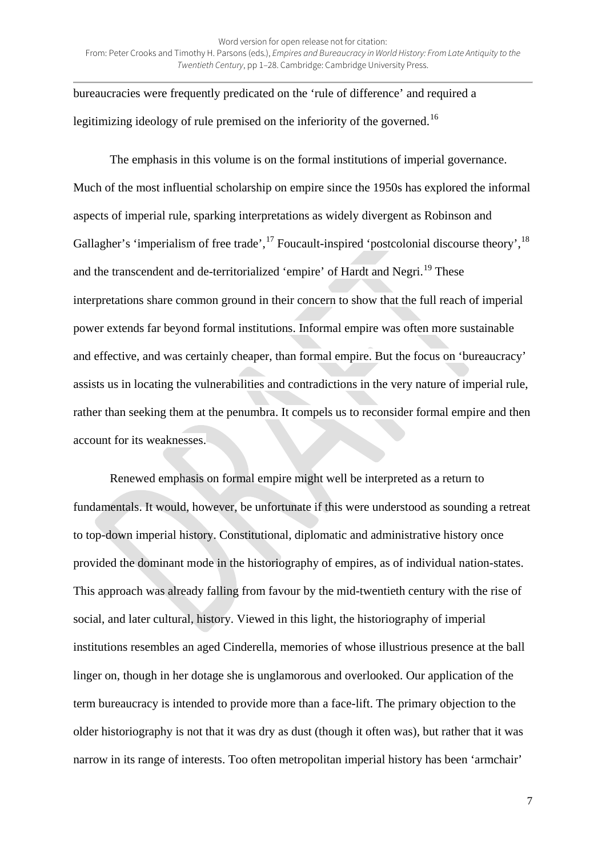bureaucracies were frequently predicated on the 'rule of difference' and required a legitimizing ideology of rule premised on the inferiority of the governed.<sup>[16](#page-31-0)</sup>

The emphasis in this volume is on the formal institutions of imperial governance. Much of the most influential scholarship on empire since the 1950s has explored the informal aspects of imperial rule, sparking interpretations as widely divergent as Robinson and Gallagher's 'imperialism of free trade',  $^{17}$  $^{17}$  $^{17}$  Foucault-inspired 'postcolonial discourse theory',  $^{18}$  $^{18}$  $^{18}$ and the transcendent and de-territorialized 'empire' of Hardt and Negri.<sup>[19](#page-31-3)</sup> These interpretations share common ground in their concern to show that the full reach of imperial power extends far beyond formal institutions. Informal empire was often more sustainable and effective, and was certainly cheaper, than formal empire. But the focus on 'bureaucracy' assists us in locating the vulnerabilities and contradictions in the very nature of imperial rule, rather than seeking them at the penumbra. It compels us to reconsider formal empire and then account for its weaknesses.

Renewed emphasis on formal empire might well be interpreted as a return to fundamentals. It would, however, be unfortunate if this were understood as sounding a retreat to top-down imperial history. Constitutional, diplomatic and administrative history once provided the dominant mode in the historiography of empires, as of individual nation-states. This approach was already falling from favour by the mid-twentieth century with the rise of social, and later cultural, history. Viewed in this light, the historiography of imperial institutions resembles an aged Cinderella, memories of whose illustrious presence at the ball linger on, though in her dotage she is unglamorous and overlooked. Our application of the term bureaucracy is intended to provide more than a face-lift. The primary objection to the older historiography is not that it was dry as dust (though it often was), but rather that it was narrow in its range of interests. Too often metropolitan imperial history has been 'armchair'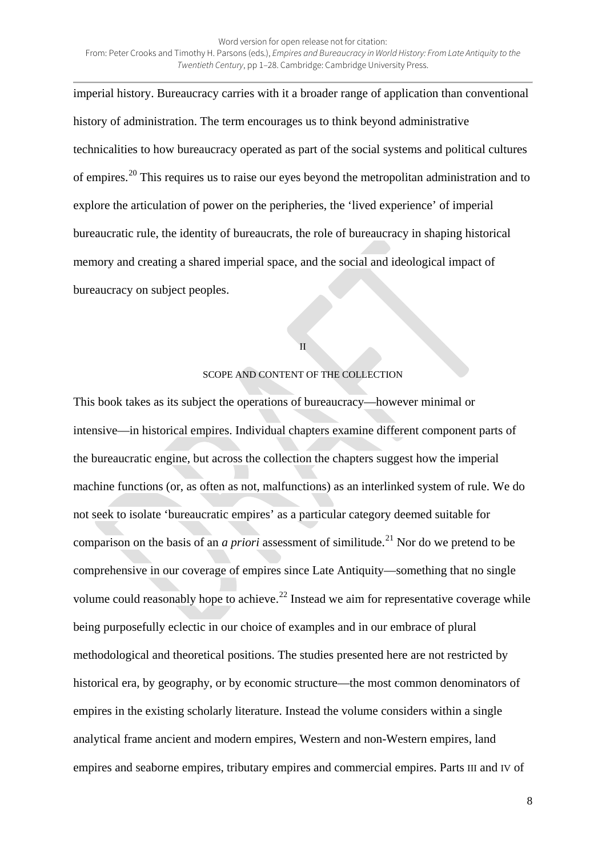imperial history. Bureaucracy carries with it a broader range of application than conventional history of administration. The term encourages us to think beyond administrative technicalities to how bureaucracy operated as part of the social systems and political cultures of empires.[20](#page-32-0) This requires us to raise our eyes beyond the metropolitan administration and to explore the articulation of power on the peripheries, the 'lived experience' of imperial bureaucratic rule, the identity of bureaucrats, the role of bureaucracy in shaping historical memory and creating a shared imperial space, and the social and ideological impact of bureaucracy on subject peoples.

## II

# SCOPE AND CONTENT OF THE COLLECTION

This book takes as its subject the operations of bureaucracy—however minimal or intensive—in historical empires. Individual chapters examine different component parts of the bureaucratic engine, but across the collection the chapters suggest how the imperial machine functions (or, as often as not, malfunctions) as an interlinked system of rule. We do not seek to isolate 'bureaucratic empires' as a particular category deemed suitable for comparison on the basis of an *a priori* assessment of similitude.<sup>[21](#page-32-1)</sup> Nor do we pretend to be comprehensive in our coverage of empires since Late Antiquity—something that no single volume could reasonably hope to achieve.<sup>[22](#page-32-2)</sup> Instead we aim for representative coverage while being purposefully eclectic in our choice of examples and in our embrace of plural methodological and theoretical positions. The studies presented here are not restricted by historical era, by geography, or by economic structure—the most common denominators of empires in the existing scholarly literature. Instead the volume considers within a single analytical frame ancient and modern empires, Western and non-Western empires, land empires and seaborne empires, tributary empires and commercial empires. Parts III and IV of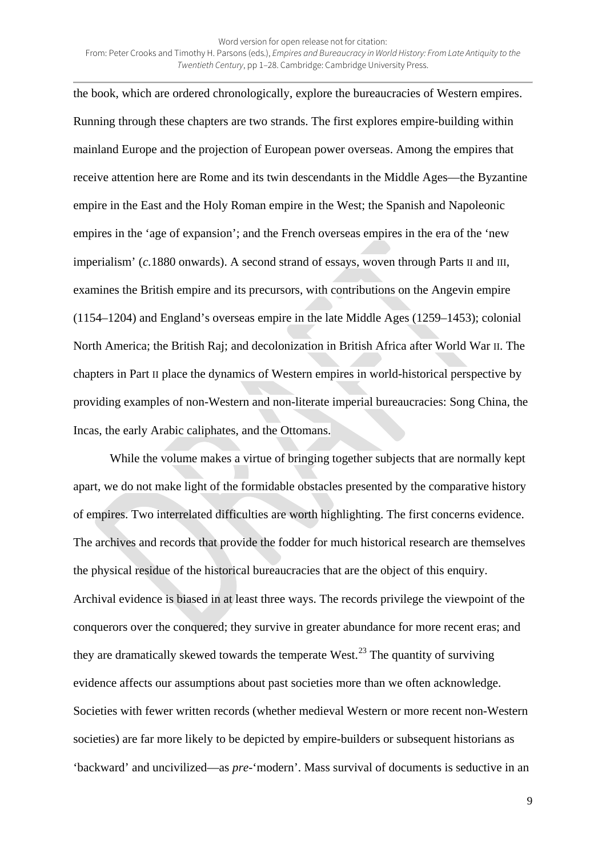the book, which are ordered chronologically, explore the bureaucracies of Western empires. Running through these chapters are two strands. The first explores empire-building within mainland Europe and the projection of European power overseas. Among the empires that receive attention here are Rome and its twin descendants in the Middle Ages—the Byzantine empire in the East and the Holy Roman empire in the West; the Spanish and Napoleonic empires in the 'age of expansion'; and the French overseas empires in the era of the 'new imperialism' (*c.*1880 onwards). A second strand of essays, woven through Parts II and III, examines the British empire and its precursors, with contributions on the Angevin empire (1154–1204) and England's overseas empire in the late Middle Ages (1259–1453); colonial North America; the British Raj; and decolonization in British Africa after World War II. The chapters in Part II place the dynamics of Western empires in world-historical perspective by providing examples of non-Western and non-literate imperial bureaucracies: Song China, the Incas, the early Arabic caliphates, and the Ottomans.

While the volume makes a virtue of bringing together subjects that are normally kept apart, we do not make light of the formidable obstacles presented by the comparative history of empires. Two interrelated difficulties are worth highlighting. The first concerns evidence. The archives and records that provide the fodder for much historical research are themselves the physical residue of the historical bureaucracies that are the object of this enquiry. Archival evidence is biased in at least three ways. The records privilege the viewpoint of the conquerors over the conquered; they survive in greater abundance for more recent eras; and they are dramatically skewed towards the temperate West.<sup>[23](#page-32-3)</sup> The quantity of surviving evidence affects our assumptions about past societies more than we often acknowledge. Societies with fewer written records (whether medieval Western or more recent non-Western societies) are far more likely to be depicted by empire-builders or subsequent historians as 'backward' and uncivilized—as *pre*-'modern'. Mass survival of documents is seductive in an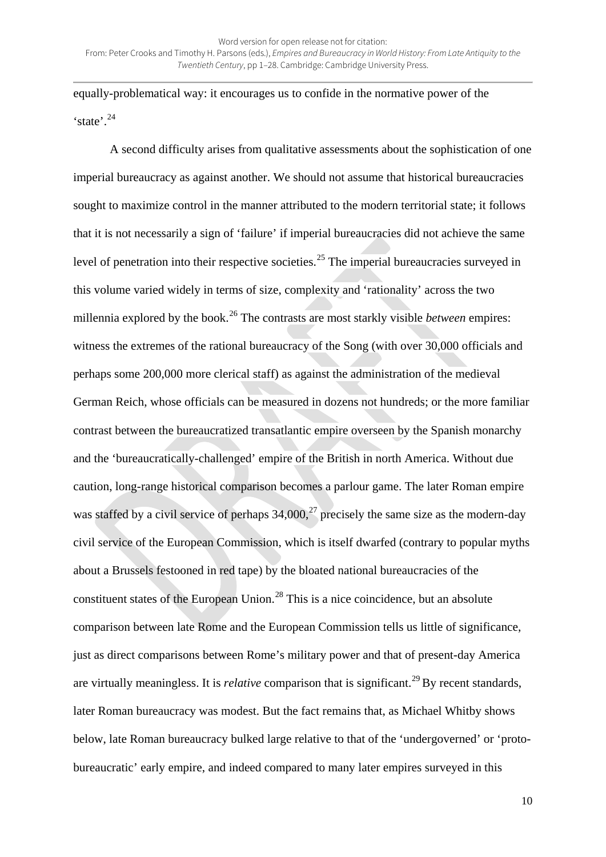equally-problematical way: it encourages us to confide in the normative power of the  $\cdot$ state $\cdot$ .<sup>[24](#page-33-0)</sup>

A second difficulty arises from qualitative assessments about the sophistication of one imperial bureaucracy as against another. We should not assume that historical bureaucracies sought to maximize control in the manner attributed to the modern territorial state; it follows that it is not necessarily a sign of 'failure' if imperial bureaucracies did not achieve the same level of penetration into their respective societies.<sup>[25](#page-33-1)</sup> The imperial bureaucracies surveyed in this volume varied widely in terms of size, complexity and 'rationality' across the two millennia explored by the book.<sup>[26](#page-33-2)</sup> The contrasts are most starkly visible *between* empires: witness the extremes of the rational bureaucracy of the Song (with over 30,000 officials and perhaps some 200,000 more clerical staff) as against the administration of the medieval German Reich, whose officials can be measured in dozens not hundreds; or the more familiar contrast between the bureaucratized transatlantic empire overseen by the Spanish monarchy and the 'bureaucratically-challenged' empire of the British in north America. Without due caution, long-range historical comparison becomes a parlour game. The later Roman empire was staffed by a civil service of perhaps  $34,000$ ,<sup>[27](#page-33-3)</sup> precisely the same size as the modern-day civil service of the European Commission, which is itself dwarfed (contrary to popular myths about a Brussels festooned in red tape) by the bloated national bureaucracies of the constituent states of the European Union.<sup>[28](#page-33-4)</sup> This is a nice coincidence, but an absolute comparison between late Rome and the European Commission tells us little of significance, just as direct comparisons between Rome's military power and that of present-day America are virtually meaningless. It is *relative* comparison that is significant.<sup>[29](#page-33-5)</sup> By recent standards, later Roman bureaucracy was modest. But the fact remains that, as Michael Whitby shows below, late Roman bureaucracy bulked large relative to that of the 'undergoverned' or 'protobureaucratic' early empire, and indeed compared to many later empires surveyed in this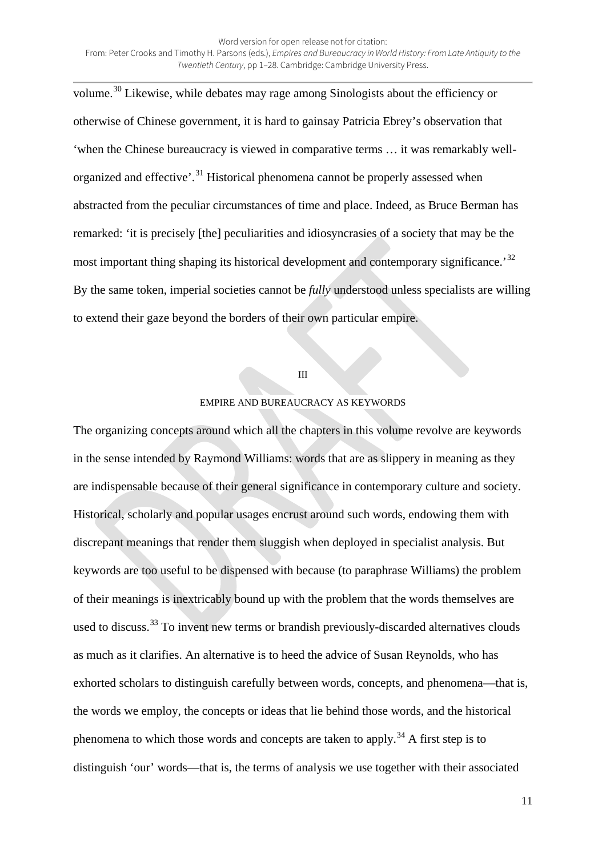volume.<sup>[30](#page-34-0)</sup> Likewise, while debates may rage among Sinologists about the efficiency or otherwise of Chinese government, it is hard to gainsay Patricia Ebrey's observation that 'when the Chinese bureaucracy is viewed in comparative terms … it was remarkably wellorganized and effective'.[31](#page-34-1) Historical phenomena cannot be properly assessed when abstracted from the peculiar circumstances of time and place. Indeed, as Bruce Berman has remarked: 'it is precisely [the] peculiarities and idiosyncrasies of a society that may be the most important thing shaping its historical development and contemporary significance.<sup>[32](#page-34-2)</sup> By the same token, imperial societies cannot be *fully* understood unless specialists are willing to extend their gaze beyond the borders of their own particular empire.

## III

## EMPIRE AND BUREAUCRACY AS KEYWORDS

The organizing concepts around which all the chapters in this volume revolve are keywords in the sense intended by Raymond Williams: words that are as slippery in meaning as they are indispensable because of their general significance in contemporary culture and society. Historical, scholarly and popular usages encrust around such words, endowing them with discrepant meanings that render them sluggish when deployed in specialist analysis. But keywords are too useful to be dispensed with because (to paraphrase Williams) the problem of their meanings is inextricably bound up with the problem that the words themselves are used to discuss.<sup>[33](#page-34-3)</sup> To invent new terms or brandish previously-discarded alternatives clouds as much as it clarifies. An alternative is to heed the advice of Susan Reynolds, who has exhorted scholars to distinguish carefully between words, concepts, and phenomena—that is, the words we employ, the concepts or ideas that lie behind those words, and the historical phenomena to which those words and concepts are taken to apply.[34](#page-34-4) A first step is to distinguish 'our' words—that is, the terms of analysis we use together with their associated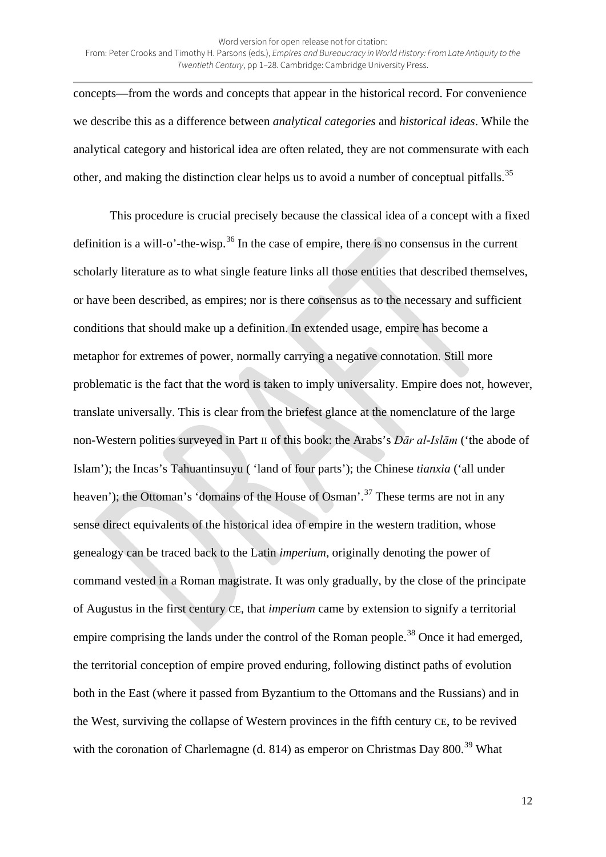concepts—from the words and concepts that appear in the historical record. For convenience we describe this as a difference between *analytical categories* and *historical ideas*. While the analytical category and historical idea are often related, they are not commensurate with each other, and making the distinction clear helps us to avoid a number of conceptual pitfalls.<sup>[35](#page-35-0)</sup>

This procedure is crucial precisely because the classical idea of a concept with a fixed definition is a will-o'-the-wisp.<sup>[36](#page-35-1)</sup> In the case of empire, there is no consensus in the current scholarly literature as to what single feature links all those entities that described themselves, or have been described, as empires; nor is there consensus as to the necessary and sufficient conditions that should make up a definition. In extended usage, empire has become a metaphor for extremes of power, normally carrying a negative connotation. Still more problematic is the fact that the word is taken to imply universality. Empire does not, however, translate universally. This is clear from the briefest glance at the nomenclature of the large non-Western polities surveyed in Part II of this book: the Arabs's *Dār al-Islām* ('the abode of Islam'); the Incas's Tahuantinsuyu ( 'land of four parts'); the Chinese *tianxia* ('all under heaven'); the Ottoman's 'domains of the House of Osman'.<sup>[37](#page-35-2)</sup> These terms are not in any sense direct equivalents of the historical idea of empire in the western tradition, whose genealogy can be traced back to the Latin *imperium*, originally denoting the power of command vested in a Roman magistrate. It was only gradually, by the close of the principate of Augustus in the first century CE, that *imperium* came by extension to signify a territorial empire comprising the lands under the control of the Roman people.<sup>[38](#page-35-3)</sup> Once it had emerged, the territorial conception of empire proved enduring, following distinct paths of evolution both in the East (where it passed from Byzantium to the Ottomans and the Russians) and in the West, surviving the collapse of Western provinces in the fifth century CE, to be revived with the coronation of Charlemagne (d. 814) as emperor on Christmas Day 800.<sup>[39](#page-35-4)</sup> What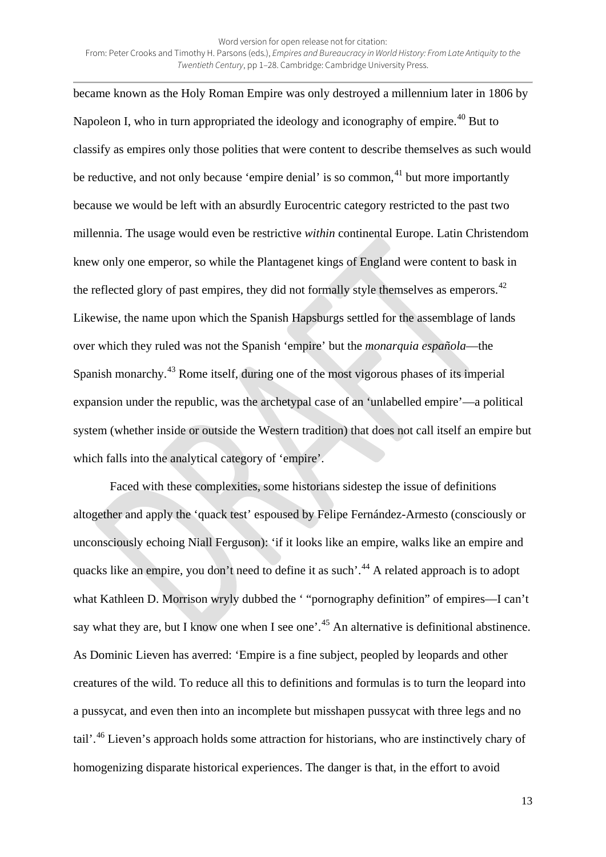became known as the Holy Roman Empire was only destroyed a millennium later in 1806 by Napoleon I, who in turn appropriated the ideology and iconography of empire.<sup>[40](#page-36-0)</sup> But to classify as empires only those polities that were content to describe themselves as such would be reductive, and not only because 'empire denial' is so common.<sup>[41](#page-36-1)</sup> but more importantly because we would be left with an absurdly Eurocentric category restricted to the past two millennia. The usage would even be restrictive *within* continental Europe. Latin Christendom knew only one emperor, so while the Plantagenet kings of England were content to bask in the reflected glory of past empires, they did not formally style themselves as emperors.<sup>[42](#page-36-2)</sup> Likewise, the name upon which the Spanish Hapsburgs settled for the assemblage of lands over which they ruled was not the Spanish 'empire' but the *monarquia española*—the Spanish monarchy.<sup>[43](#page-36-3)</sup> Rome itself, during one of the most vigorous phases of its imperial expansion under the republic, was the archetypal case of an 'unlabelled empire'—a political system (whether inside or outside the Western tradition) that does not call itself an empire but which falls into the analytical category of 'empire'.

Faced with these complexities, some historians sidestep the issue of definitions altogether and apply the 'quack test' espoused by Felipe Fernández-Armesto (consciously or unconsciously echoing Niall Ferguson): 'if it looks like an empire, walks like an empire and quacks like an empire, you don't need to define it as such<sup>'.[44](#page-36-4)</sup> A related approach is to adopt what Kathleen D. Morrison wryly dubbed the ' "pornography definition" of empires—I can't say what they are, but I know one when I see one'.<sup>[45](#page-36-5)</sup> An alternative is definitional abstinence. As Dominic Lieven has averred: 'Empire is a fine subject, peopled by leopards and other creatures of the wild. To reduce all this to definitions and formulas is to turn the leopard into a pussycat, and even then into an incomplete but misshapen pussycat with three legs and no tail'.<sup>[46](#page-36-6)</sup> Lieven's approach holds some attraction for historians, who are instinctively chary of homogenizing disparate historical experiences. The danger is that, in the effort to avoid

13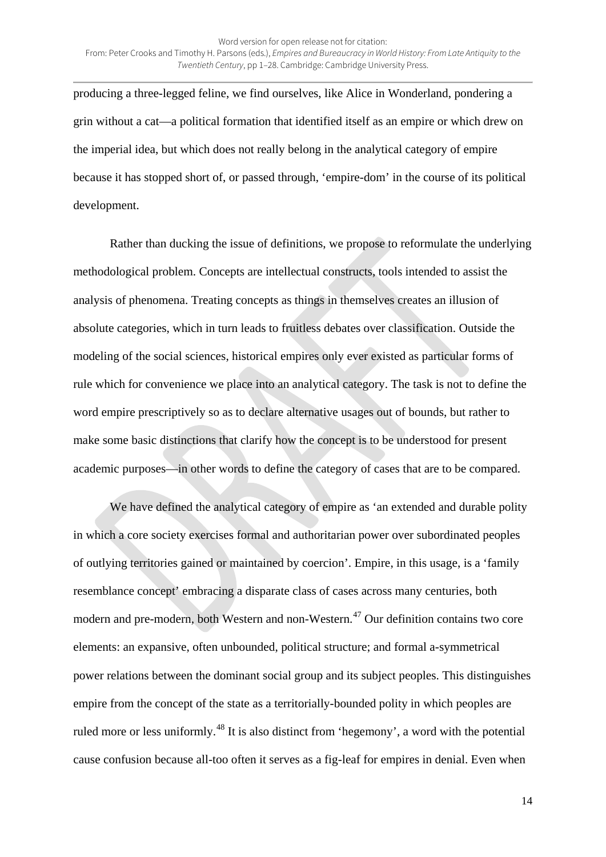producing a three-legged feline, we find ourselves, like Alice in Wonderland, pondering a grin without a cat—a political formation that identified itself as an empire or which drew on the imperial idea, but which does not really belong in the analytical category of empire because it has stopped short of, or passed through, 'empire-dom' in the course of its political development.

Rather than ducking the issue of definitions, we propose to reformulate the underlying methodological problem. Concepts are intellectual constructs, tools intended to assist the analysis of phenomena. Treating concepts as things in themselves creates an illusion of absolute categories, which in turn leads to fruitless debates over classification. Outside the modeling of the social sciences, historical empires only ever existed as particular forms of rule which for convenience we place into an analytical category. The task is not to define the word empire prescriptively so as to declare alternative usages out of bounds, but rather to make some basic distinctions that clarify how the concept is to be understood for present academic purposes—in other words to define the category of cases that are to be compared.

We have defined the analytical category of empire as 'an extended and durable polity in which a core society exercises formal and authoritarian power over subordinated peoples of outlying territories gained or maintained by coercion'. Empire, in this usage, is a 'family resemblance concept' embracing a disparate class of cases across many centuries, both modern and pre-modern, both Western and non-Western.<sup>[47](#page-37-0)</sup> Our definition contains two core elements: an expansive, often unbounded, political structure; and formal a-symmetrical power relations between the dominant social group and its subject peoples. This distinguishes empire from the concept of the state as a territorially-bounded polity in which peoples are ruled more or less uniformly.<sup>[48](#page-37-1)</sup> It is also distinct from 'hegemony', a word with the potential cause confusion because all-too often it serves as a fig-leaf for empires in denial. Even when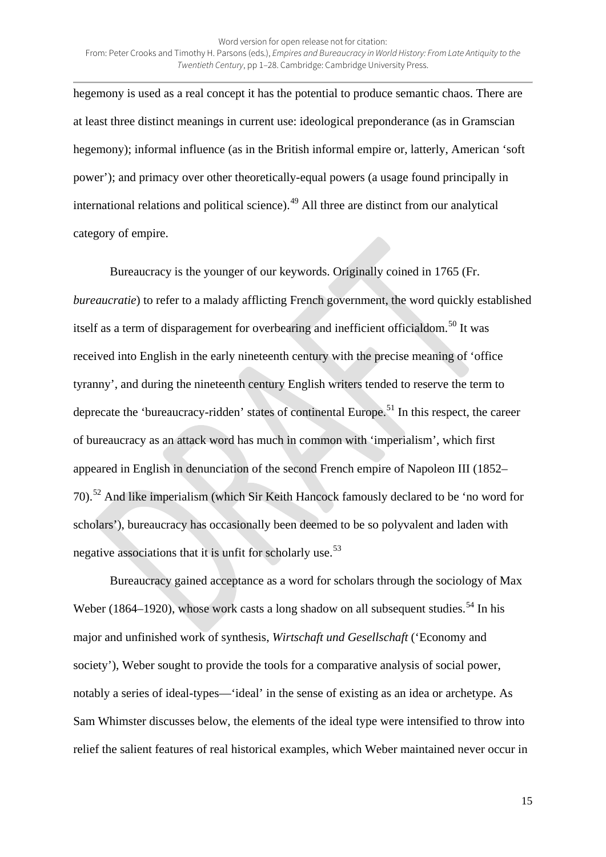hegemony is used as a real concept it has the potential to produce semantic chaos. There are at least three distinct meanings in current use: ideological preponderance (as in Gramscian hegemony); informal influence (as in the British informal empire or, latterly, American 'soft power'); and primacy over other theoretically-equal powers (a usage found principally in international relations and political science).<sup> $49$ </sup> All three are distinct from our analytical category of empire.

Bureaucracy is the younger of our keywords. Originally coined in 1765 (Fr. *bureaucratie*) to refer to a malady afflicting French government, the word quickly established itself as a term of disparagement for overbearing and inefficient officialdom.<sup>[50](#page-38-1)</sup> It was received into English in the early nineteenth century with the precise meaning of 'office tyranny', and during the nineteenth century English writers tended to reserve the term to deprecate the 'bureaucracy-ridden' states of continental Europe.<sup>[51](#page-38-2)</sup> In this respect, the career of bureaucracy as an attack word has much in common with 'imperialism', which first appeared in English in denunciation of the second French empire of Napoleon III (1852– 70).[52](#page-38-3) And like imperialism (which Sir Keith Hancock famously declared to be 'no word for scholars'), bureaucracy has occasionally been deemed to be so polyvalent and laden with negative associations that it is unfit for scholarly use.<sup>[53](#page-38-4)</sup>

Bureaucracy gained acceptance as a word for scholars through the sociology of Max Weber (1864–1920), whose work casts a long shadow on all subsequent studies.<sup>[54](#page-38-0)</sup> In his major and unfinished work of synthesis, *Wirtschaft und Gesellschaft* ('Economy and society'), Weber sought to provide the tools for a comparative analysis of social power, notably a series of ideal-types—'ideal' in the sense of existing as an idea or archetype. As Sam Whimster discusses below, the elements of the ideal type were intensified to throw into relief the salient features of real historical examples, which Weber maintained never occur in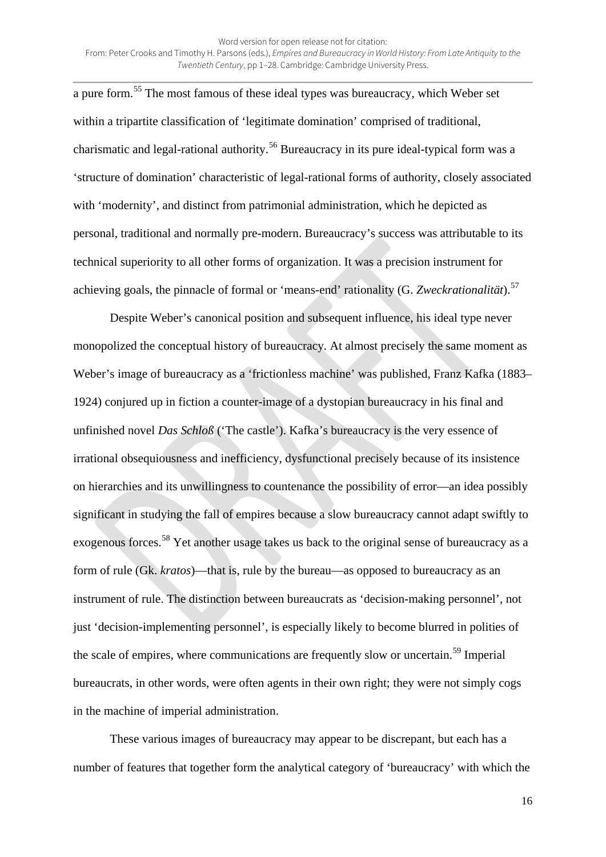a pure form.[55](#page-39-0) The most famous of these ideal types was bureaucracy, which Weber set within a tripartite classification of 'legitimate domination' comprised of traditional, charismatic and legal-rational authority.<sup>[56](#page-39-1)</sup> Bureaucracy in its pure ideal-typical form was a 'structure of domination' characteristic of legal-rational forms of authority, closely associated with 'modernity', and distinct from patrimonial administration, which he depicted as personal, traditional and normally pre-modern. Bureaucracy's success was attributable to its technical superiority to all other forms of organization. It was a precision instrument for achieving goals, the pinnacle of formal or 'means-end' rationality (G. *Zweckrationalität*).[57](#page-39-2)

Despite Weber's canonical position and subsequent influence, his ideal type never monopolized the conceptual history of bureaucracy. At almost precisely the same moment as Weber's image of bureaucracy as a 'frictionless machine' was published, Franz Kafka (1883– 1924) conjured up in fiction a counter-image of a dystopian bureaucracy in his final and unfinished novel *Das Schloß* ('The castle'). Kafka's bureaucracy is the very essence of irrational obsequiousness and inefficiency, dysfunctional precisely because of its insistence on hierarchies and its unwillingness to countenance the possibility of error—an idea possibly significant in studying the fall of empires because a slow bureaucracy cannot adapt swiftly to exogenous forces.<sup>[58](#page-39-3)</sup> Yet another usage takes us back to the original sense of bureaucracy as a form of rule (Gk. *kratos*)—that is, rule by the bureau—as opposed to bureaucracy as an instrument of rule. The distinction between bureaucrats as 'decision-making personnel', not just 'decision-implementing personnel', is especially likely to become blurred in polities of the scale of empires, where communications are frequently slow or uncertain.<sup>[59](#page-39-4)</sup> Imperial bureaucrats, in other words, were often agents in their own right; they were not simply cogs in the machine of imperial administration.

These various images of bureaucracy may appear to be discrepant, but each has a number of features that together form the analytical category of 'bureaucracy' with which the

16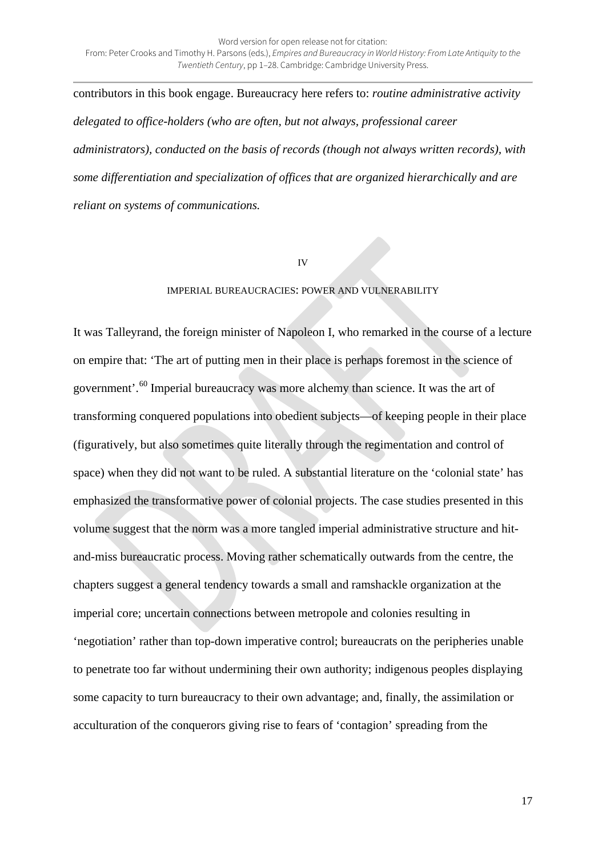contributors in this book engage. Bureaucracy here refers to: *routine administrative activity delegated to office-holders (who are often, but not always, professional career administrators), conducted on the basis of records (though not always written records), with some differentiation and specialization of offices that are organized hierarchically and are reliant on systems of communications.* 

IV

## IMPERIAL BUREAUCRACIES: POWER AND VULNERABILITY

It was Talleyrand, the foreign minister of Napoleon I, who remarked in the course of a lecture on empire that: 'The art of putting men in their place is perhaps foremost in the science of government'.[60](#page-40-0) Imperial bureaucracy was more alchemy than science. It was the art of transforming conquered populations into obedient subjects—of keeping people in their place (figuratively, but also sometimes quite literally through the regimentation and control of space) when they did not want to be ruled. A substantial literature on the 'colonial state' has emphasized the transformative power of colonial projects. The case studies presented in this volume suggest that the norm was a more tangled imperial administrative structure and hitand-miss bureaucratic process. Moving rather schematically outwards from the centre, the chapters suggest a general tendency towards a small and ramshackle organization at the imperial core; uncertain connections between metropole and colonies resulting in 'negotiation' rather than top-down imperative control; bureaucrats on the peripheries unable to penetrate too far without undermining their own authority; indigenous peoples displaying some capacity to turn bureaucracy to their own advantage; and, finally, the assimilation or acculturation of the conquerors giving rise to fears of 'contagion' spreading from the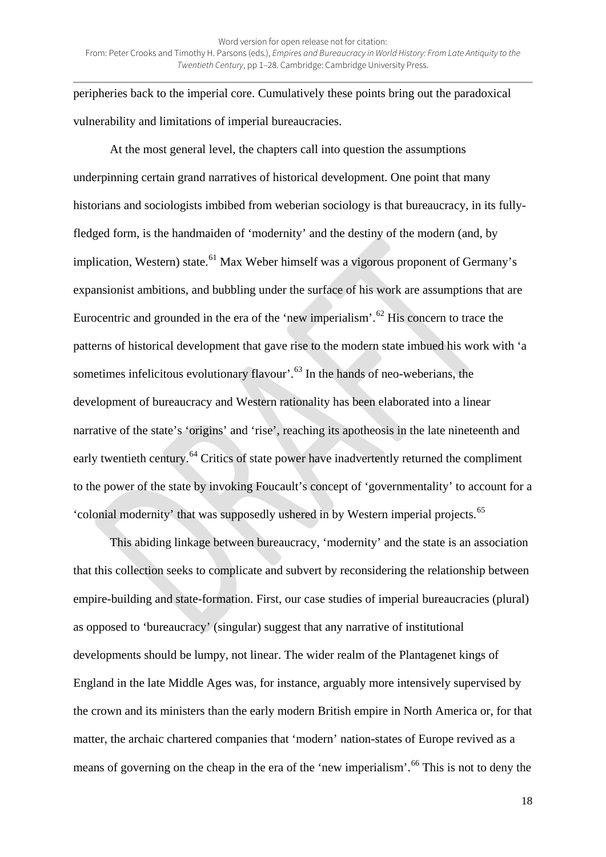peripheries back to the imperial core. Cumulatively these points bring out the paradoxical vulnerability and limitations of imperial bureaucracies.

At the most general level, the chapters call into question the assumptions underpinning certain grand narratives of historical development. One point that many historians and sociologists imbibed from weberian sociology is that bureaucracy, in its fullyfledged form, is the handmaiden of 'modernity' and the destiny of the modern (and, by implication, Western) state.<sup>[61](#page-40-1)</sup> Max Weber himself was a vigorous proponent of Germany's expansionist ambitions, and bubbling under the surface of his work are assumptions that are Eurocentric and grounded in the era of the 'new imperialism'.<sup>[62](#page-40-2)</sup> His concern to trace the patterns of historical development that gave rise to the modern state imbued his work with 'a sometimes infelicitous evolutionary flavour'.<sup>[63](#page-40-3)</sup> In the hands of neo-weberians, the development of bureaucracy and Western rationality has been elaborated into a linear narrative of the state's 'origins' and 'rise', reaching its apotheosis in the late nineteenth and early twentieth century.<sup>[64](#page-40-4)</sup> Critics of state power have inadvertently returned the compliment to the power of the state by invoking Foucault's concept of 'governmentality' to account for a 'colonial modernity' that was supposedly ushered in by Western imperial projects. [65](#page-40-0)

This abiding linkage between bureaucracy, 'modernity' and the state is an association that this collection seeks to complicate and subvert by reconsidering the relationship between empire-building and state-formation. First, our case studies of imperial bureaucracies (plural) as opposed to 'bureaucracy' (singular) suggest that any narrative of institutional developments should be lumpy, not linear. The wider realm of the Plantagenet kings of England in the late Middle Ages was, for instance, arguably more intensively supervised by the crown and its ministers than the early modern British empire in North America or, for that matter, the archaic chartered companies that 'modern' nation-states of Europe revived as a means of governing on the cheap in the era of the 'new imperialism'.<sup>[66](#page-40-5)</sup> This is not to deny the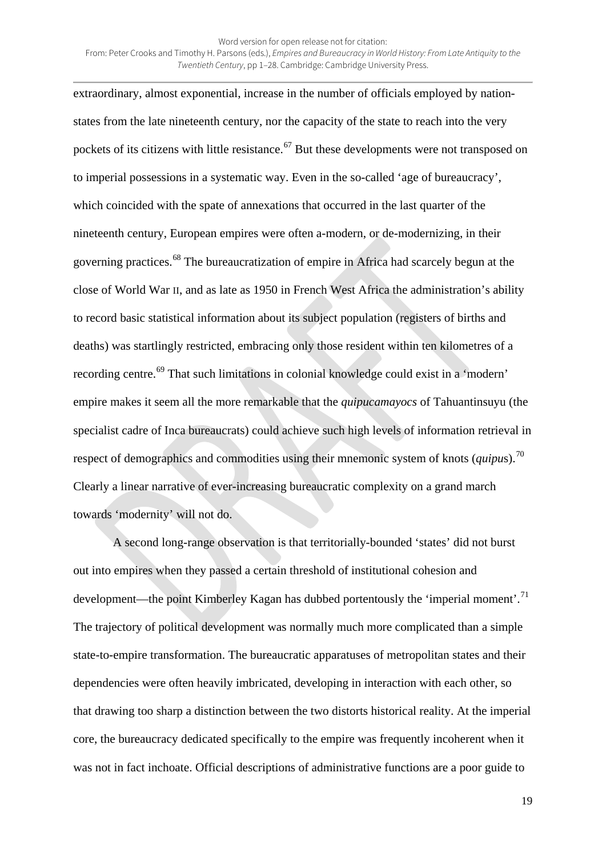extraordinary, almost exponential, increase in the number of officials employed by nationstates from the late nineteenth century, nor the capacity of the state to reach into the very pockets of its citizens with little resistance.<sup>[67](#page-40-1)</sup> But these developments were not transposed on to imperial possessions in a systematic way. Even in the so-called 'age of bureaucracy', which coincided with the spate of annexations that occurred in the last quarter of the nineteenth century, European empires were often a-modern, or de-modernizing, in their governing practices.[68](#page-40-6) The bureaucratization of empire in Africa had scarcely begun at the close of World War II, and as late as 1950 in French West Africa the administration's ability to record basic statistical information about its subject population (registers of births and deaths) was startlingly restricted, embracing only those resident within ten kilometres of a recording centre.<sup>[69](#page-40-2)</sup> That such limitations in colonial knowledge could exist in a 'modern' empire makes it seem all the more remarkable that the *quipucamayocs* of Tahuantinsuyu (the specialist cadre of Inca bureaucrats) could achieve such high levels of information retrieval in respect of demographics and commodities using their mnemonic system of knots (*quipu*s).[70](#page-40-7) Clearly a linear narrative of ever-increasing bureaucratic complexity on a grand march towards 'modernity' will not do.

A second long-range observation is that territorially-bounded 'states' did not burst out into empires when they passed a certain threshold of institutional cohesion and development—the point Kimberley Kagan has dubbed portentously the 'imperial moment'.<sup>[71](#page-40-8)</sup> The trajectory of political development was normally much more complicated than a simple state-to-empire transformation. The bureaucratic apparatuses of metropolitan states and their dependencies were often heavily imbricated, developing in interaction with each other, so that drawing too sharp a distinction between the two distorts historical reality. At the imperial core, the bureaucracy dedicated specifically to the empire was frequently incoherent when it was not in fact inchoate. Official descriptions of administrative functions are a poor guide to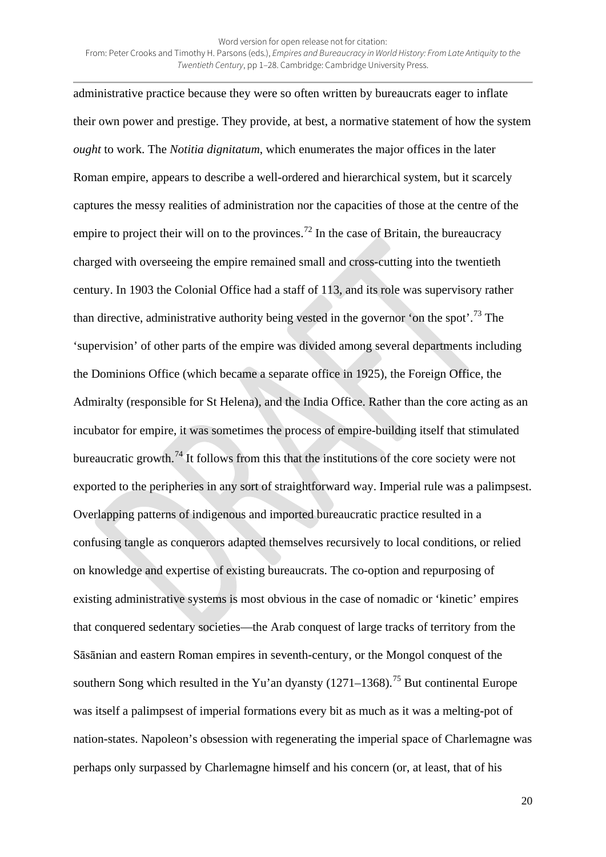administrative practice because they were so often written by bureaucrats eager to inflate their own power and prestige. They provide, at best, a normative statement of how the system *ought* to work. The *Notitia dignitatum*, which enumerates the major offices in the later Roman empire, appears to describe a well-ordered and hierarchical system, but it scarcely captures the messy realities of administration nor the capacities of those at the centre of the empire to project their will on to the provinces.<sup>[72](#page-40-9)</sup> In the case of Britain, the bureaucracy charged with overseeing the empire remained small and cross-cutting into the twentieth century. In 1903 the Colonial Office had a staff of 113, and its role was supervisory rather than directive, administrative authority being vested in the governor 'on the spot'.<sup>[73](#page-40-4)</sup> The 'supervision' of other parts of the empire was divided among several departments including the Dominions Office (which became a separate office in 1925), the Foreign Office, the Admiralty (responsible for St Helena), and the India Office. Rather than the core acting as an incubator for empire, it was sometimes the process of empire-building itself that stimulated bureaucratic growth.<sup>[74](#page-40-10)</sup> It follows from this that the institutions of the core society were not exported to the peripheries in any sort of straightforward way. Imperial rule was a palimpsest. Overlapping patterns of indigenous and imported bureaucratic practice resulted in a confusing tangle as conquerors adapted themselves recursively to local conditions, or relied on knowledge and expertise of existing bureaucrats. The co-option and repurposing of existing administrative systems is most obvious in the case of nomadic or 'kinetic' empires that conquered sedentary societies—the Arab conquest of large tracks of territory from the Sāsānian and eastern Roman empires in seventh-century, or the Mongol conquest of the southern Song which resulted in the Yu'an dyansty  $(1271-1368)$ .<sup>[75](#page-40-11)</sup> But continental Europe was itself a palimpsest of imperial formations every bit as much as it was a melting-pot of nation-states. Napoleon's obsession with regenerating the imperial space of Charlemagne was perhaps only surpassed by Charlemagne himself and his concern (or, at least, that of his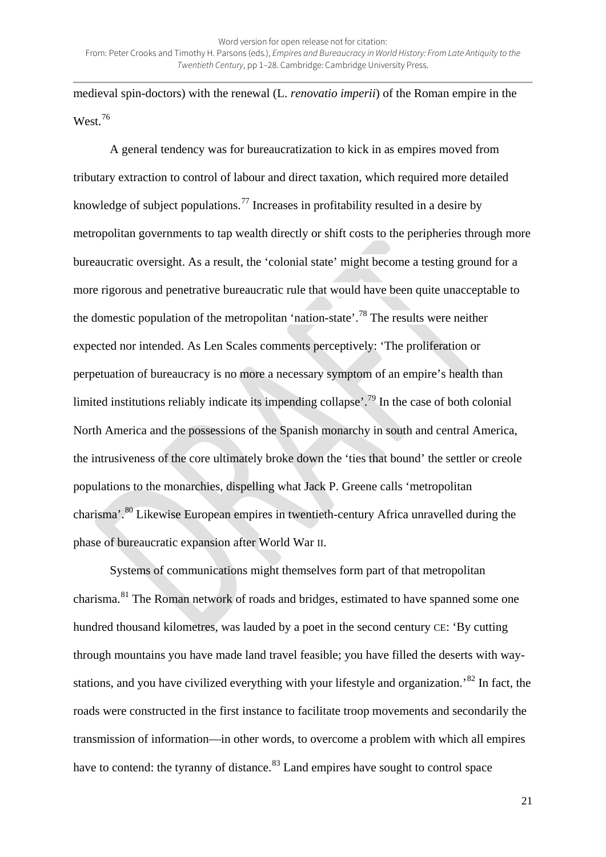medieval spin-doctors) with the renewal (L. *renovatio imperii*) of the Roman empire in the West.<sup>[76](#page-40-1)</sup>

A general tendency was for bureaucratization to kick in as empires moved from tributary extraction to control of labour and direct taxation, which required more detailed knowledge of subject populations.<sup>[77](#page-40-12)</sup> Increases in profitability resulted in a desire by metropolitan governments to tap wealth directly or shift costs to the peripheries through more bureaucratic oversight. As a result, the 'colonial state' might become a testing ground for a more rigorous and penetrative bureaucratic rule that would have been quite unacceptable to the domestic population of the metropolitan 'nation-state'.[78](#page-40-7) The results were neither expected nor intended. As Len Scales comments perceptively: 'The proliferation or perpetuation of bureaucracy is no more a necessary symptom of an empire's health than limited institutions reliably indicate its impending collapse'.<sup>[79](#page-40-13)</sup> In the case of both colonial North America and the possessions of the Spanish monarchy in south and central America, the intrusiveness of the core ultimately broke down the 'ties that bound' the settler or creole populations to the monarchies, dispelling what Jack P. Greene calls 'metropolitan charisma'.[80](#page-40-14) Likewise European empires in twentieth-century Africa unravelled during the phase of bureaucratic expansion after World War II.

Systems of communications might themselves form part of that metropolitan charisma.[81](#page-40-15) The Roman network of roads and bridges, estimated to have spanned some one hundred thousand kilometres, was lauded by a poet in the second century CE: 'By cutting through mountains you have made land travel feasible; you have filled the deserts with way-stations, and you have civilized everything with your lifestyle and organization.<sup>[82](#page-40-16)</sup> In fact, the roads were constructed in the first instance to facilitate troop movements and secondarily the transmission of information—in other words, to overcome a problem with which all empires have to contend: the tyranny of distance.<sup>[83](#page-40-11)</sup> Land empires have sought to control space

21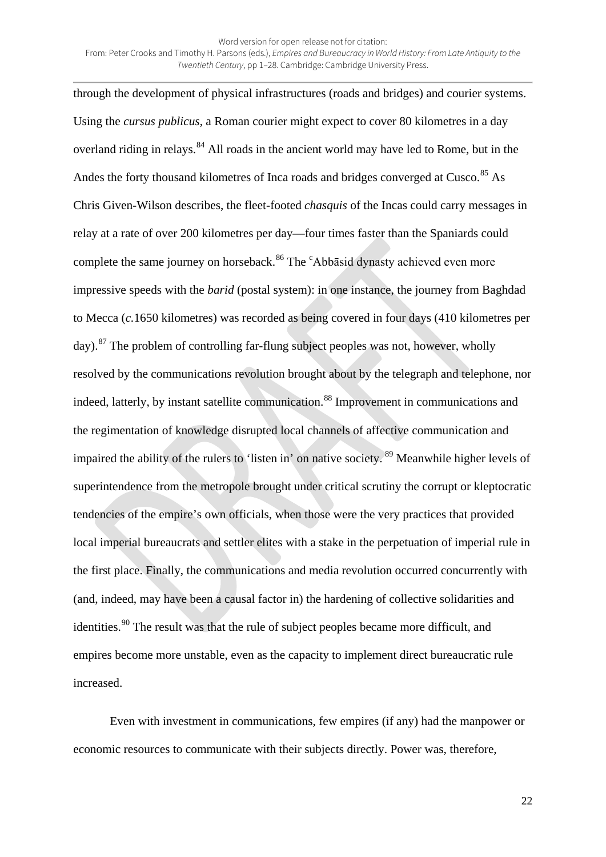through the development of physical infrastructures (roads and bridges) and courier systems. Using the *cursus publicus*, a Roman courier might expect to cover 80 kilometres in a day overland riding in relays.<sup>[84](#page-40-17)</sup> All roads in the ancient world may have led to Rome, but in the Andes the forty thousand kilometres of Inca roads and bridges converged at Cusco.<sup>[85](#page-40-0)</sup> As Chris Given-Wilson describes, the fleet-footed *chasquis* of the Incas could carry messages in relay at a rate of over 200 kilometres per day—four times faster than the Spaniards could complete the same journey on horseback.<sup>[86](#page-40-5)</sup> The <sup>c</sup>Abbasid dynasty achieved even more impressive speeds with the *barid* (postal system): in one instance, the journey from Baghdad to Mecca (*c.*1650 kilometres) was recorded as being covered in four days (410 kilometres per day).[87](#page-40-1) The problem of controlling far-flung subject peoples was not, however, wholly resolved by the communications revolution brought about by the telegraph and telephone, nor indeed, latterly, by instant satellite communication.<sup>[88](#page-40-12)</sup> Improvement in communications and the regimentation of knowledge disrupted local channels of affective communication and impaired the ability of the rulers to 'listen in' on native society. <sup>[89](#page-40-2)</sup> Meanwhile higher levels of superintendence from the metropole brought under critical scrutiny the corrupt or kleptocratic tendencies of the empire's own officials, when those were the very practices that provided local imperial bureaucrats and settler elites with a stake in the perpetuation of imperial rule in the first place. Finally, the communications and media revolution occurred concurrently with (and, indeed, may have been a causal factor in) the hardening of collective solidarities and identities.<sup>[90](#page-40-8)</sup> The result was that the rule of subject peoples became more difficult, and empires become more unstable, even as the capacity to implement direct bureaucratic rule increased.

Even with investment in communications, few empires (if any) had the manpower or economic resources to communicate with their subjects directly. Power was, therefore,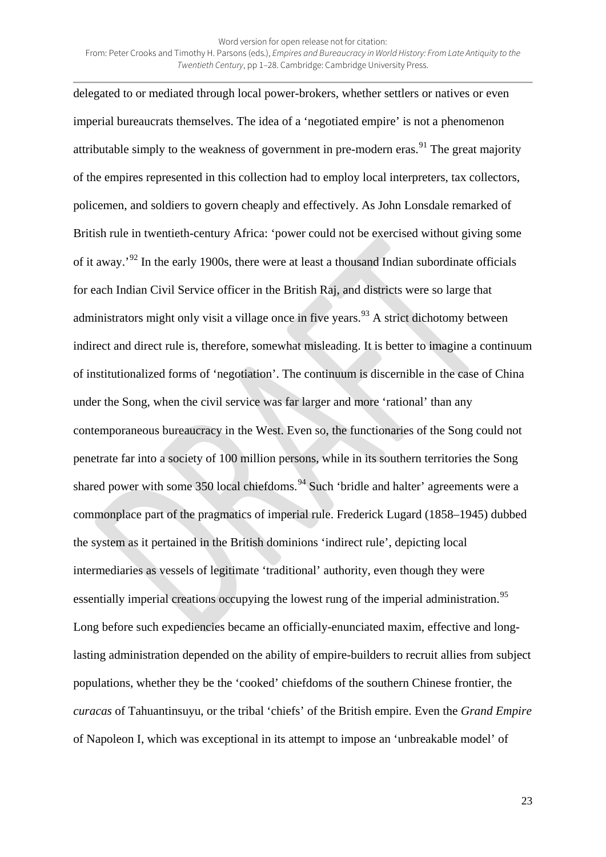delegated to or mediated through local power-brokers, whether settlers or natives or even imperial bureaucrats themselves. The idea of a 'negotiated empire' is not a phenomenon attributable simply to the weakness of government in pre-modern eras.<sup>[91](#page-40-18)</sup> The great majority of the empires represented in this collection had to employ local interpreters, tax collectors, policemen, and soldiers to govern cheaply and effectively. As John Lonsdale remarked of British rule in twentieth-century Africa: 'power could not be exercised without giving some of it away.<sup>[92](#page-40-15)</sup> In the early 1900s, there were at least a thousand Indian subordinate officials for each Indian Civil Service officer in the British Raj, and districts were so large that administrators might only visit a village once in five years.<sup>[93](#page-40-4)</sup> A strict dichotomy between indirect and direct rule is, therefore, somewhat misleading. It is better to imagine a continuum of institutionalized forms of 'negotiation'. The continuum is discernible in the case of China under the Song, when the civil service was far larger and more 'rational' than any contemporaneous bureaucracy in the West. Even so, the functionaries of the Song could not penetrate far into a society of 100 million persons, while in its southern territories the Song shared power with some 350 local chiefdoms.<sup>[94](#page-40-19)</sup> Such 'bridle and halter' agreements were a commonplace part of the pragmatics of imperial rule. Frederick Lugard (1858–1945) dubbed the system as it pertained in the British dominions 'indirect rule', depicting local intermediaries as vessels of legitimate 'traditional' authority, even though they were essentially imperial creations occupying the lowest rung of the imperial administration.<sup>[95](#page-40-16)</sup> Long before such expediencies became an officially-enunciated maxim, effective and longlasting administration depended on the ability of empire-builders to recruit allies from subject populations, whether they be the 'cooked' chiefdoms of the southern Chinese frontier, the *curacas* of Tahuantinsuyu, or the tribal 'chiefs' of the British empire. Even the *Grand Empire*  of Napoleon I, which was exceptional in its attempt to impose an 'unbreakable model' of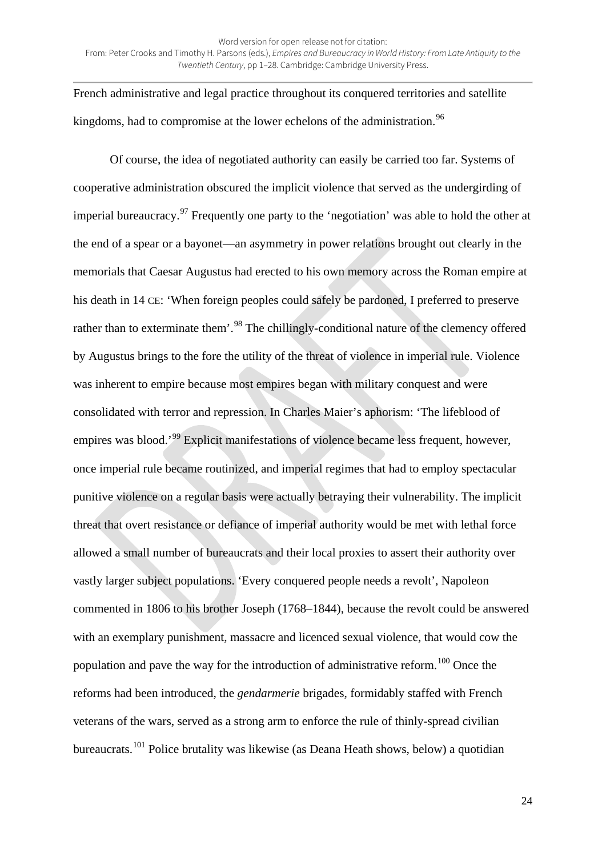French administrative and legal practice throughout its conquered territories and satellite kingdoms, had to compromise at the lower echelons of the administration.<sup>[96](#page-40-17)</sup>

Of course, the idea of negotiated authority can easily be carried too far. Systems of cooperative administration obscured the implicit violence that served as the undergirding of imperial bureaucracy.<sup>[97](#page-40-20)</sup> Frequently one party to the 'negotiation' was able to hold the other at the end of a spear or a bayonet—an asymmetry in power relations brought out clearly in the memorials that Caesar Augustus had erected to his own memory across the Roman empire at his death in 14 CE: 'When foreign peoples could safely be pardoned, I preferred to preserve rather than to exterminate them'.<sup>[98](#page-40-21)</sup> The chillingly-conditional nature of the clemency offered by Augustus brings to the fore the utility of the threat of violence in imperial rule. Violence was inherent to empire because most empires began with military conquest and were consolidated with terror and repression. In Charles Maier's aphorism: 'The lifeblood of empires was blood.<sup>'[99](#page-40-5)</sup> Explicit manifestations of violence became less frequent, however, once imperial rule became routinized, and imperial regimes that had to employ spectacular punitive violence on a regular basis were actually betraying their vulnerability. The implicit threat that overt resistance or defiance of imperial authority would be met with lethal force allowed a small number of bureaucrats and their local proxies to assert their authority over vastly larger subject populations. 'Every conquered people needs a revolt', Napoleon commented in 1806 to his brother Joseph (1768–1844), because the revolt could be answered with an exemplary punishment, massacre and licenced sexual violence, that would cow the population and pave the way for the introduction of administrative reform.<sup>[100](#page-40-1)</sup> Once the reforms had been introduced, the *gendarmerie* brigades, formidably staffed with French veterans of the wars, served as a strong arm to enforce the rule of thinly-spread civilian bureaucrats.<sup>[101](#page-40-6)</sup> Police brutality was likewise (as Deana Heath shows, below) a quotidian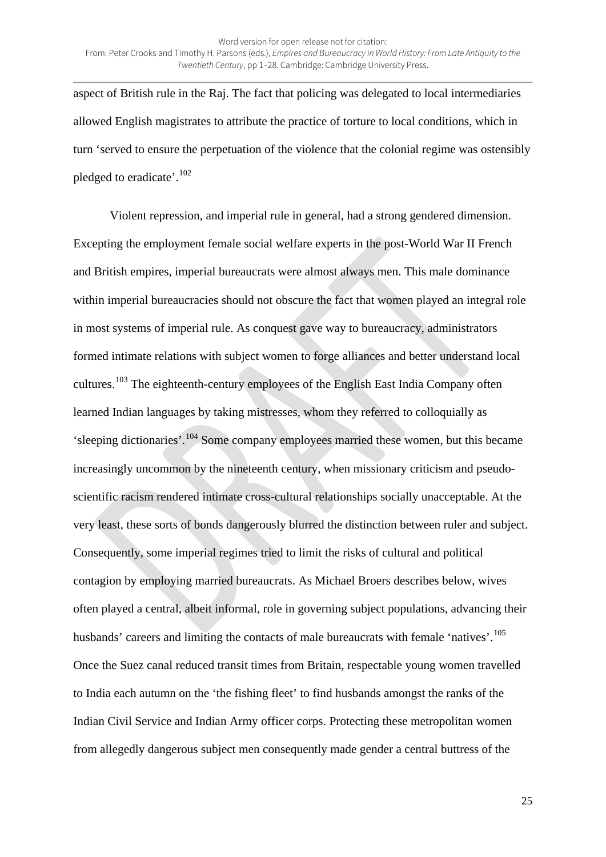aspect of British rule in the Raj. The fact that policing was delegated to local intermediaries allowed English magistrates to attribute the practice of torture to local conditions, which in turn 'served to ensure the perpetuation of the violence that the colonial regime was ostensibly pledged to eradicate'.<sup>[102](#page-40-12)</sup>

Violent repression, and imperial rule in general, had a strong gendered dimension. Excepting the employment female social welfare experts in the post-World War II French and British empires, imperial bureaucrats were almost always men. This male dominance within imperial bureaucracies should not obscure the fact that women played an integral role in most systems of imperial rule. As conquest gave way to bureaucracy, administrators formed intimate relations with subject women to forge alliances and better understand local cultures.<sup>[103](#page-40-2)</sup> The eighteenth-century employees of the English East India Company often learned Indian languages by taking mistresses, whom they referred to colloquially as 'sleeping dictionaries'.[104](#page-40-8) Some company employees married these women, but this became increasingly uncommon by the nineteenth century, when missionary criticism and pseudoscientific racism rendered intimate cross-cultural relationships socially unacceptable. At the very least, these sorts of bonds dangerously blurred the distinction between ruler and subject. Consequently, some imperial regimes tried to limit the risks of cultural and political contagion by employing married bureaucrats. As Michael Broers describes below, wives often played a central, albeit informal, role in governing subject populations, advancing their husbands' careers and limiting the contacts of male bureaucrats with female 'natives'.<sup>[105](#page-40-9)</sup> Once the Suez canal reduced transit times from Britain, respectable young women travelled to India each autumn on the 'the fishing fleet' to find husbands amongst the ranks of the Indian Civil Service and Indian Army officer corps. Protecting these metropolitan women from allegedly dangerous subject men consequently made gender a central buttress of the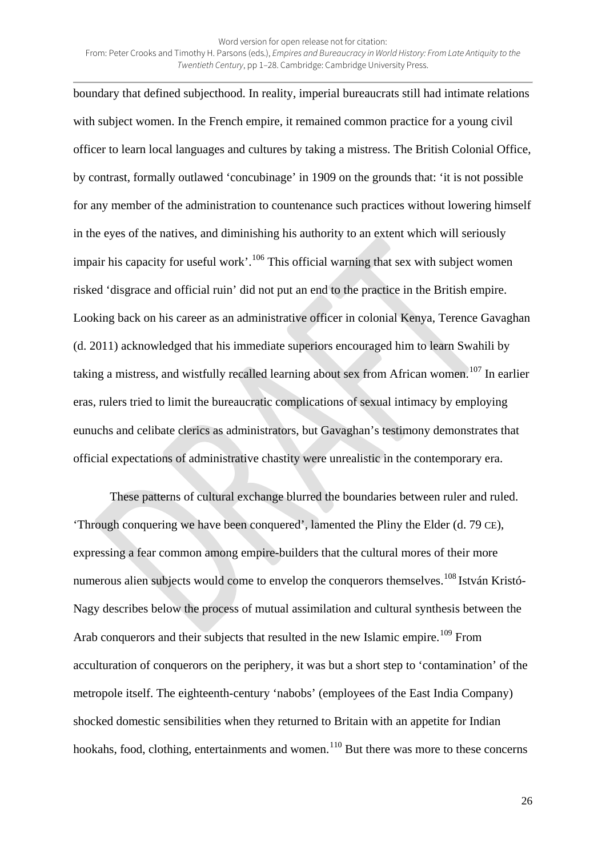boundary that defined subjecthood. In reality, imperial bureaucrats still had intimate relations with subject women. In the French empire, it remained common practice for a young civil officer to learn local languages and cultures by taking a mistress. The British Colonial Office, by contrast, formally outlawed 'concubinage' in 1909 on the grounds that: 'it is not possible for any member of the administration to countenance such practices without lowering himself in the eyes of the natives, and diminishing his authority to an extent which will seriously impair his capacity for useful work'.<sup>[106](#page-40-18)</sup> This official warning that sex with subject women risked 'disgrace and official ruin' did not put an end to the practice in the British empire. Looking back on his career as an administrative officer in colonial Kenya, Terence Gavaghan (d. 2011) acknowledged that his immediate superiors encouraged him to learn Swahili by taking a mistress, and wistfully recalled learning about sex from African women.<sup>[107](#page-40-14)</sup> In earlier eras, rulers tried to limit the bureaucratic complications of sexual intimacy by employing eunuchs and celibate clerics as administrators, but Gavaghan's testimony demonstrates that official expectations of administrative chastity were unrealistic in the contemporary era.

These patterns of cultural exchange blurred the boundaries between ruler and ruled. 'Through conquering we have been conquered', lamented the Pliny the Elder (d. 79 CE), expressing a fear common among empire-builders that the cultural mores of their more numerous alien subjects would come to envelop the conquerors themselves.<sup>[108](#page-40-15)</sup> István Kristó-Nagy describes below the process of mutual assimilation and cultural synthesis between the Arab conquerors and their subjects that resulted in the new Islamic empire.<sup>[109](#page-40-4)</sup> From acculturation of conquerors on the periphery, it was but a short step to 'contamination' of the metropole itself. The eighteenth-century 'nabobs' (employees of the East India Company) shocked domestic sensibilities when they returned to Britain with an appetite for Indian hookahs, food, clothing, entertainments and women.<sup>[110](#page-40-19)</sup> But there was more to these concerns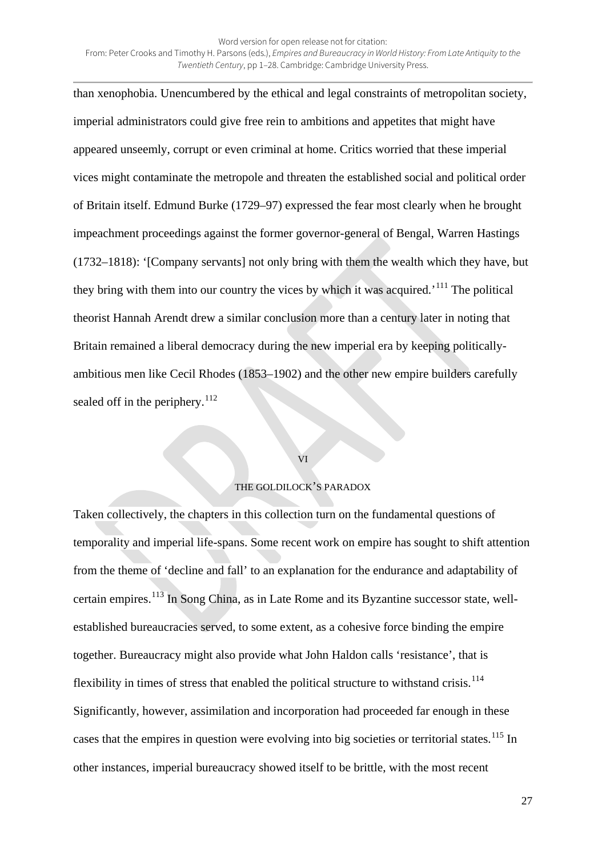than xenophobia. Unencumbered by the ethical and legal constraints of metropolitan society, imperial administrators could give free rein to ambitions and appetites that might have appeared unseemly, corrupt or even criminal at home. Critics worried that these imperial vices might contaminate the metropole and threaten the established social and political order of Britain itself. Edmund Burke (1729–97) expressed the fear most clearly when he brought impeachment proceedings against the former governor-general of Bengal, Warren Hastings (1732–1818): '[Company servants] not only bring with them the wealth which they have, but they bring with them into our country the vices by which it was acquired.<sup>'[111](#page-40-10)</sup> The political theorist Hannah Arendt drew a similar conclusion more than a century later in noting that Britain remained a liberal democracy during the new imperial era by keeping politicallyambitious men like Cecil Rhodes (1853–1902) and the other new empire builders carefully sealed off in the periphery.<sup>[112](#page-40-22)</sup>

## VI

# THE GOLDILOCK'S PARADOX

Taken collectively, the chapters in this collection turn on the fundamental questions of temporality and imperial life-spans. Some recent work on empire has sought to shift attention from the theme of 'decline and fall' to an explanation for the endurance and adaptability of certain empires.<sup>[113](#page-40-17)</sup> In Song China, as in Late Rome and its Byzantine successor state, wellestablished bureaucracies served, to some extent, as a cohesive force binding the empire together. Bureaucracy might also provide what John Haldon calls 'resistance', that is flexibility in times of stress that enabled the political structure to withstand crisis.<sup>[114](#page-40-0)</sup> Significantly, however, assimilation and incorporation had proceeded far enough in these cases that the empires in question were evolving into big societies or territorial states.<sup>[115](#page-40-21)</sup> In other instances, imperial bureaucracy showed itself to be brittle, with the most recent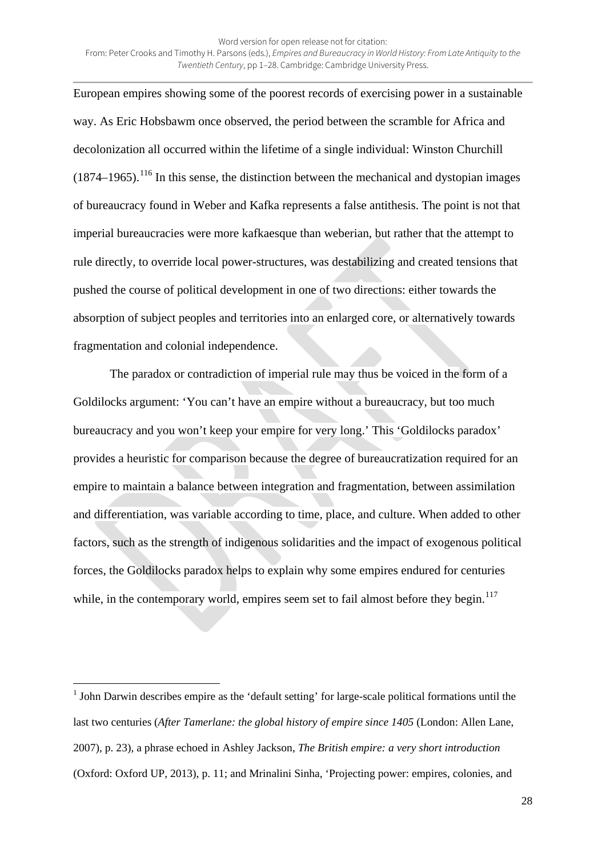European empires showing some of the poorest records of exercising power in a sustainable way. As Eric Hobsbawm once observed, the period between the scramble for Africa and decolonization all occurred within the lifetime of a single individual: Winston Churchill  $(1874–1965)$ .<sup>[116](#page-40-5)</sup> In this sense, the distinction between the mechanical and dystopian images of bureaucracy found in Weber and Kafka represents a false antithesis. The point is not that imperial bureaucracies were more kafkaesque than weberian, but rather that the attempt to rule directly, to override local power-structures, was destabilizing and created tensions that pushed the course of political development in one of two directions: either towards the absorption of subject peoples and territories into an enlarged core, or alternatively towards fragmentation and colonial independence.

The paradox or contradiction of imperial rule may thus be voiced in the form of a Goldilocks argument: 'You can't have an empire without a bureaucracy, but too much bureaucracy and you won't keep your empire for very long.' This 'Goldilocks paradox' provides a heuristic for comparison because the degree of bureaucratization required for an empire to maintain a balance between integration and fragmentation, between assimilation and differentiation, was variable according to time, place, and culture. When added to other factors, such as the strength of indigenous solidarities and the impact of exogenous political forces, the Goldilocks paradox helps to explain why some empires endured for centuries while, in the contemporary world, empires seem set to fail almost before they begin.<sup>[117](#page-40-23)</sup>

<sup>-</sup> $<sup>1</sup>$  John Darwin describes empire as the 'default setting' for large-scale political formations until the</sup> last two centuries (*After Tamerlane: the global history of empire since 1405* (London: Allen Lane, 2007), p. 23), a phrase echoed in Ashley Jackson, *The British empire: a very short introduction*  (Oxford: Oxford UP, 2013), p. 11; and Mrinalini Sinha, 'Projecting power: empires, colonies, and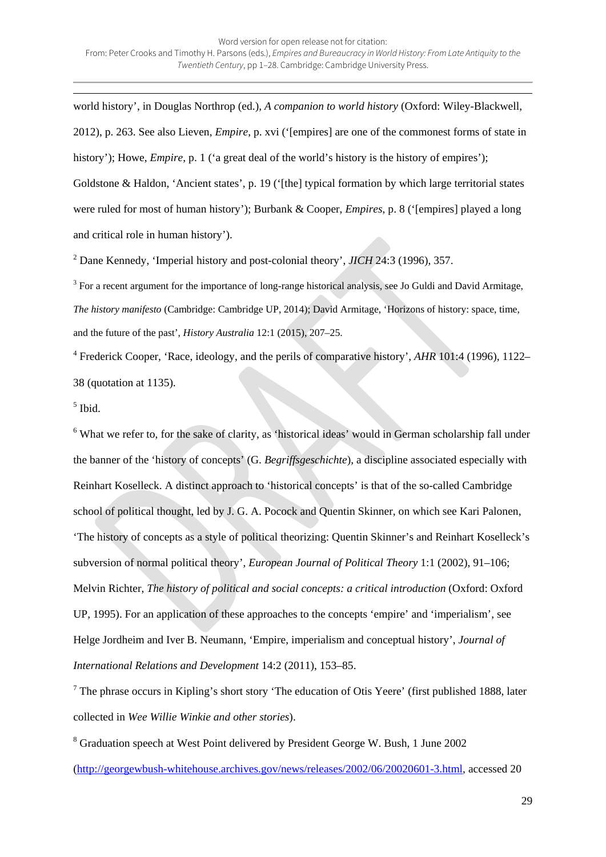world history', in Douglas Northrop (ed.), *A companion to world history* (Oxford: Wiley-Blackwell, 2012), p. 263. See also Lieven, *Empire*, p. xvi ('[empires] are one of the commonest forms of state in history'); Howe, *Empire*, p. 1 ('a great deal of the world's history is the history of empires'); Goldstone & Haldon, 'Ancient states', p. 19 ('[the] typical formation by which large territorial states were ruled for most of human history'); Burbank & Cooper, *Empires*, p. 8 ('[empires] played a long and critical role in human history').

<span id="page-27-1"></span><sup>2</sup> Dane Kennedy, 'Imperial history and post-colonial theory', *JICH* 24:3 (1996), 357.

<sup>3</sup> For a recent argument for the importance of long-range historical analysis, see Jo Guldi and David Armitage, *The history manifesto* (Cambridge: Cambridge UP, 2014); David Armitage, 'Horizons of history: space, time, and the future of the past', *History Australia* 12:1 (2015), 207–25.

<sup>4</sup> Frederick Cooper, 'Race, ideology, and the perils of comparative history', *AHR* 101:4 (1996), 1122– 38 (quotation at 1135).

 $<sup>5</sup>$  Ibid.</sup>

-

<sup>6</sup> What we refer to, for the sake of clarity, as 'historical ideas' would in German scholarship fall under the banner of the 'history of concepts' (G. *Begriffsgeschichte*), a discipline associated especially with Reinhart Koselleck. A distinct approach to 'historical concepts' is that of the so-called Cambridge school of political thought, led by J. G. A. Pocock and Quentin Skinner, on which see Kari Palonen, 'The history of concepts as a style of political theorizing: Quentin Skinner's and Reinhart Koselleck's subversion of normal political theory', *European Journal of Political Theory* 1:1 (2002), 91–106; Melvin Richter, *The history of political and social concepts: a critical introduction* (Oxford: Oxford UP, 1995). For an application of these approaches to the concepts 'empire' and 'imperialism', see Helge Jordheim and Iver B. Neumann, 'Empire, imperialism and conceptual history', *Journal of International Relations and Development* 14:2 (2011), 153–85.

<span id="page-27-0"></span> $<sup>7</sup>$  The phrase occurs in Kipling's short story 'The education of Otis Yeere' (first published 1888, later</sup> collected in *Wee Willie Winkie and other stories*).

<sup>8</sup> Graduation speech at West Point delivered by President George W. Bush, 1 June 2002 [\(http://georgewbush-whitehouse.archives.gov/news/releases/2002/06/20020601-3.html,](http://georgewbush-whitehouse.archives.gov/news/releases/2002/06/20020601-3.html) accessed 20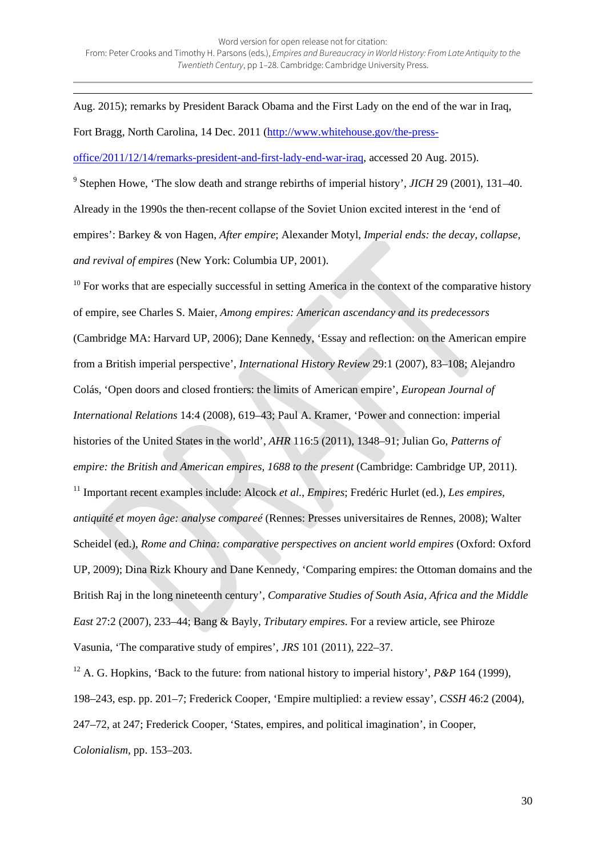-Aug. 2015); remarks by President Barack Obama and the First Lady on the end of the war in Iraq, Fort Bragg, North Carolina, 14 Dec. 2011 [\(http://www.whitehouse.gov/the-press](http://www.whitehouse.gov/the-press-office/2011/12/14/remarks-president-and-first-lady-end-war-iraq)[office/2011/12/14/remarks-president-and-first-lady-end-war-iraq,](http://www.whitehouse.gov/the-press-office/2011/12/14/remarks-president-and-first-lady-end-war-iraq) accessed 20 Aug. 2015).

<sup>9</sup> Stephen Howe, 'The slow death and strange rebirths of imperial history', *JICH* 29 (2001), 131–40. Already in the 1990s the then-recent collapse of the Soviet Union excited interest in the 'end of empires': Barkey & von Hagen, *After empire*; Alexander Motyl, *Imperial ends: the decay, collapse, and revival of empires* (New York: Columbia UP, 2001).

<span id="page-28-3"></span><span id="page-28-2"></span><span id="page-28-1"></span><span id="page-28-0"></span> $10$  For works that are especially successful in setting America in the context of the comparative history of empire, see Charles S. Maier, *Among empires: American ascendancy and its predecessors*  (Cambridge MA: Harvard UP, 2006); Dane Kennedy, 'Essay and reflection: on the American empire from a British imperial perspective', *International History Review* 29:1 (2007), 83–108; Alejandro Colás, 'Open doors and closed frontiers: the limits of American empire', *European Journal of International Relations* 14:4 (2008), 619–43; Paul A. Kramer, 'Power and connection: imperial histories of the United States in the world', *AHR* 116:5 (2011), 1348–91; Julian Go, *Patterns of empire: the British and American empires, 1688 to the present (Cambridge: Cambridge UP, 2011).* <sup>11</sup> Important recent examples include: Alcock *et al.*, *Empires*; Fredéric Hurlet (ed.), *Les empires, antiquité et moyen âge: analyse compareé* (Rennes: Presses universitaires de Rennes, 2008); Walter Scheidel (ed.), *Rome and China: comparative perspectives on ancient world empires* (Oxford: Oxford UP, 2009); Dina Rizk Khoury and Dane Kennedy, 'Comparing empires: the Ottoman domains and the British Raj in the long nineteenth century', *Comparative Studies of South Asia, Africa and the Middle East* 27:2 (2007), 233–44; Bang & Bayly, *Tributary empires*. For a review article, see Phiroze Vasunia, 'The comparative study of empires', *JRS* 101 (2011), 222–37.

<sup>12</sup> A. G. Hopkins, 'Back to the future: from national history to imperial history', *P&P* 164 (1999), 198–243, esp. pp. 201–7; Frederick Cooper, 'Empire multiplied: a review essay', *CSSH* 46:2 (2004), 247–72, at 247; Frederick Cooper, 'States, empires, and political imagination', in Cooper, *Colonialism*, pp. 153–203.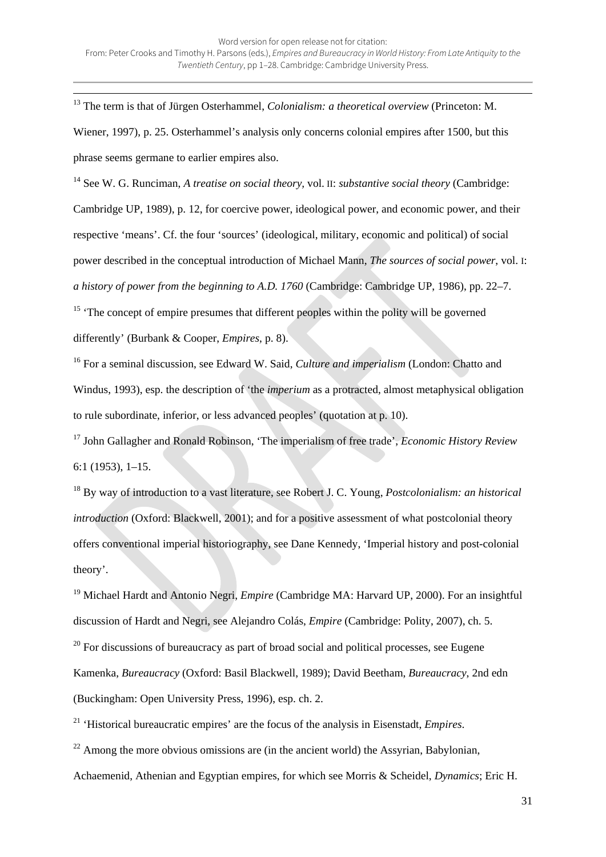<sup>13</sup> The term is that of Jürgen Osterhammel, *Colonialism: a theoretical overview* (Princeton: M. Wiener, 1997), p. 25. Osterhammel's analysis only concerns colonial empires after 1500, but this phrase seems germane to earlier empires also.

-

<span id="page-29-3"></span><span id="page-29-2"></span><sup>14</sup> See W. G. Runciman, *A treatise on social theory,* vol. II: *substantive social theory* (Cambridge: Cambridge UP, 1989), p. 12, for coercive power, ideological power, and economic power, and their respective 'means'. Cf. the four 'sources' (ideological, military, economic and political) of social power described in the conceptual introduction of Michael Mann, *The sources of social power*, vol. I: *a history of power from the beginning to A.D. 1760* (Cambridge: Cambridge UP, 1986), pp. 22–7. <sup>15</sup> The concept of empire presumes that different peoples within the polity will be governed differently' (Burbank & Cooper, *Empires*, p. 8).

<sup>16</sup> For a seminal discussion, see Edward W. Said, *Culture and imperialism* (London: Chatto and Windus, 1993), esp. the description of 'the *imperium* as a protracted, almost metaphysical obligation to rule subordinate, inferior, or less advanced peoples' (quotation at p. 10).

<sup>17</sup> John Gallagher and Ronald Robinson, 'The imperialism of free trade', *Economic History Review*  6:1 (1953), 1–15.

<span id="page-29-4"></span><sup>18</sup> By way of introduction to a vast literature, see Robert J. C. Young, *Postcolonialism: an historical introduction* (Oxford: Blackwell, 2001); and for a positive assessment of what postcolonial theory offers conventional imperial historiography, see Dane Kennedy, 'Imperial history and post-colonial theory'.

<sup>19</sup> Michael Hardt and Antonio Negri, *Empire* (Cambridge MA: Harvard UP, 2000). For an insightful discussion of Hardt and Negri, see Alejandro Colás, *Empire* (Cambridge: Polity, 2007), ch. 5.

<span id="page-29-5"></span><span id="page-29-0"></span> $20$  For discussions of bureaucracy as part of broad social and political processes, see Eugene Kamenka, *Bureaucracy* (Oxford: Basil Blackwell, 1989); David Beetham, *Bureaucracy*, 2nd edn (Buckingham: Open University Press, 1996), esp. ch. 2.

<span id="page-29-1"></span><sup>21</sup> 'Historical bureaucratic empires' are the focus of the analysis in Eisenstadt, *Empires*.

 $^{22}$  Among the more obvious omissions are (in the ancient world) the Assyrian, Babylonian, Achaemenid, Athenian and Egyptian empires, for which see Morris & Scheidel, *Dynamics*; Eric H.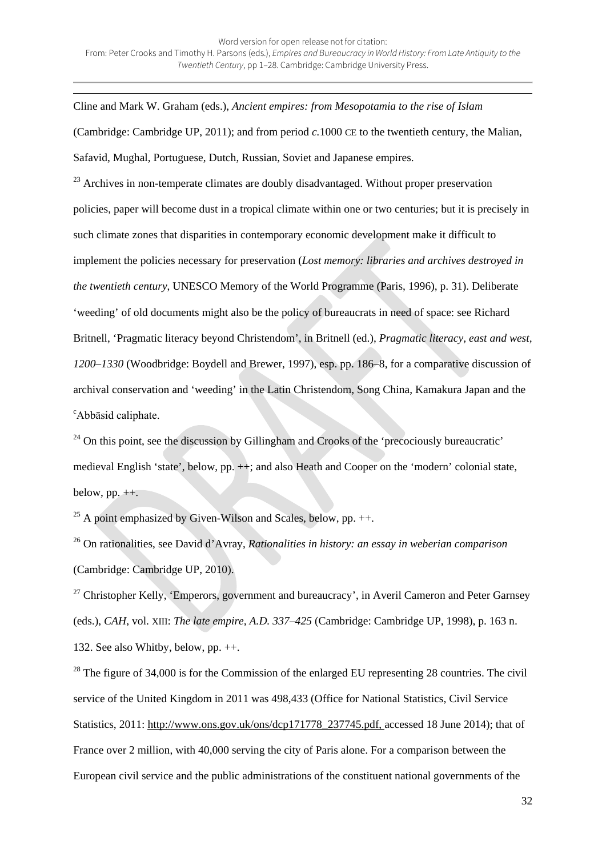<span id="page-30-0"></span>Cline and Mark W. Graham (eds.), *Ancient empires: from Mesopotamia to the rise of Islam*  (Cambridge: Cambridge UP, 2011); and from period *c.*1000 CE to the twentieth century, the Malian, Safavid, Mughal, Portuguese, Dutch, Russian, Soviet and Japanese empires.

-

<span id="page-30-1"></span> $23$  Archives in non-temperate climates are doubly disadvantaged. Without proper preservation policies, paper will become dust in a tropical climate within one or two centuries; but it is precisely in such climate zones that disparities in contemporary economic development make it difficult to implement the policies necessary for preservation (*Lost memory: libraries and archives destroyed in the twentieth century*, UNESCO Memory of the World Programme (Paris, 1996), p. 31). Deliberate 'weeding' of old documents might also be the policy of bureaucrats in need of space: see Richard Britnell, 'Pragmatic literacy beyond Christendom', in Britnell (ed.), *Pragmatic literacy, east and west, 1200–1330* (Woodbridge: Boydell and Brewer, 1997), esp. pp. 186–8, for a comparative discussion of archival conservation and 'weeding' in the Latin Christendom, Song China, Kamakura Japan and the c Abbāsid caliphate.

<span id="page-30-2"></span> $^{24}$  On this point, see the discussion by Gillingham and Crooks of the 'precociously bureaucratic' medieval English 'state', below, pp. ++; and also Heath and Cooper on the 'modern' colonial state, below,  $pp. ++$ .

<sup>25</sup> A point emphasized by Given-Wilson and Scales, below, pp.  $++$ .

<sup>26</sup> On rationalities, see David d'Avray, *Rationalities in history: an essay in weberian comparison* (Cambridge: Cambridge UP, 2010).

<sup>27</sup> Christopher Kelly, 'Emperors, government and bureaucracy', in Averil Cameron and Peter Garnsey (eds.), *CAH*, vol. XIII: *The late empire, A.D. 337–425* (Cambridge: Cambridge UP, 1998), p. 163 n. 132. See also Whitby, below, pp. ++.

 $^{28}$  The figure of 34,000 is for the Commission of the enlarged EU representing 28 countries. The civil service of the United Kingdom in 2011 was 498,433 (Office for National Statistics, Civil Service Statistics, 2011: [http://www.ons.gov.uk/ons/dcp171778\\_237745.pdf,](http://www.ons.gov.uk/ons/dcp171778_237745.pdf) accessed 18 June 2014); that of France over 2 million, with 40,000 serving the city of Paris alone. For a comparison between the European civil service and the public administrations of the constituent national governments of the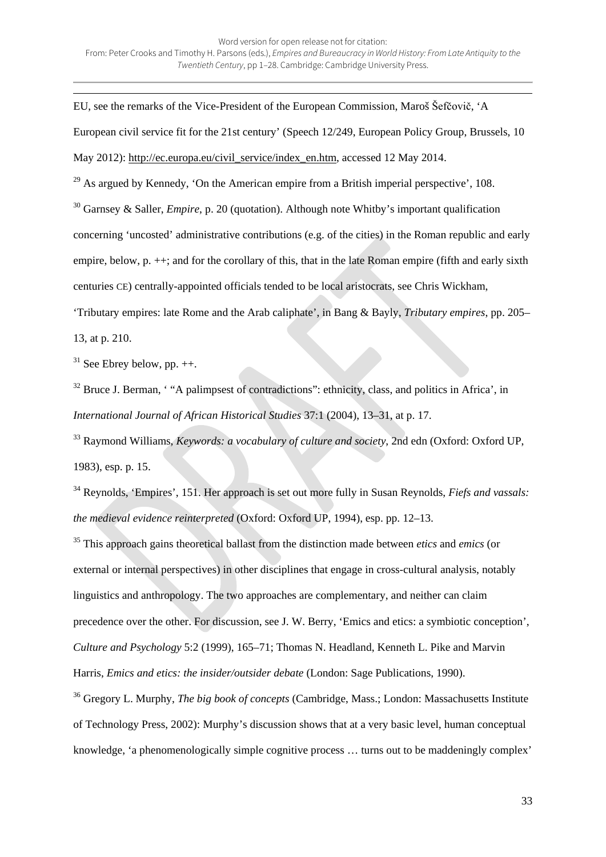EU, see the remarks of the Vice-President of the European Commission, Maroš Šefčovič, 'A European civil service fit for the 21st century' (Speech 12/249, European Policy Group, Brussels, 10 May 2012): [http://ec.europa.eu/civil\\_service/index\\_en.htm,](http://ec.europa.eu/civil_service/index_en.htm) accessed 12 May 2014.

 $^{29}$  As argued by Kennedy, 'On the American empire from a British imperial perspective', 108. <sup>30</sup> Garnsey & Saller, *Empire*, p. 20 (quotation). Although note Whitby's important qualification concerning 'uncosted' administrative contributions (e.g. of the cities) in the Roman republic and early empire, below, p. ++; and for the corollary of this, that in the late Roman empire (fifth and early sixth centuries CE) centrally-appointed officials tended to be local aristocrats, see Chris Wickham,

'Tributary empires: late Rome and the Arab caliphate', in Bang & Bayly, *Tributary empires*, pp. 205–

13, at p. 210.

-

<span id="page-31-0"></span> $31$  See Ebrey below, pp.  $++$ .

 $32$  Bruce J. Berman, ' "A palimpsest of contradictions": ethnicity, class, and politics in Africa', in *International Journal of African Historical Studies* 37:1 (2004), 13–31, at p. 17.

<span id="page-31-1"></span><sup>33</sup> Raymond Williams, *Keywords: a vocabulary of culture and society*, 2nd edn (Oxford: Oxford UP, 1983), esp. p. 15.

<span id="page-31-2"></span><sup>34</sup> Reynolds, 'Empires', 151. Her approach is set out more fully in Susan Reynolds, *Fiefs and vassals: the medieval evidence reinterpreted* (Oxford: Oxford UP, 1994), esp. pp. 12–13.

<span id="page-31-3"></span><sup>35</sup> This approach gains theoretical ballast from the distinction made between *etics* and *emics* (or external or internal perspectives) in other disciplines that engage in cross-cultural analysis, notably linguistics and anthropology. The two approaches are complementary, and neither can claim precedence over the other. For discussion, see J. W. Berry, 'Emics and etics: a symbiotic conception', *Culture and Psychology* 5:2 (1999), 165–71; Thomas N. Headland, Kenneth L. Pike and Marvin Harris, *Emics and etics: the insider/outsider debate* (London: Sage Publications, 1990).

<sup>36</sup> Gregory L. Murphy, *The big book of concepts* (Cambridge, Mass.; London: Massachusetts Institute of Technology Press, 2002): Murphy's discussion shows that at a very basic level, human conceptual knowledge, 'a phenomenologically simple cognitive process … turns out to be maddeningly complex'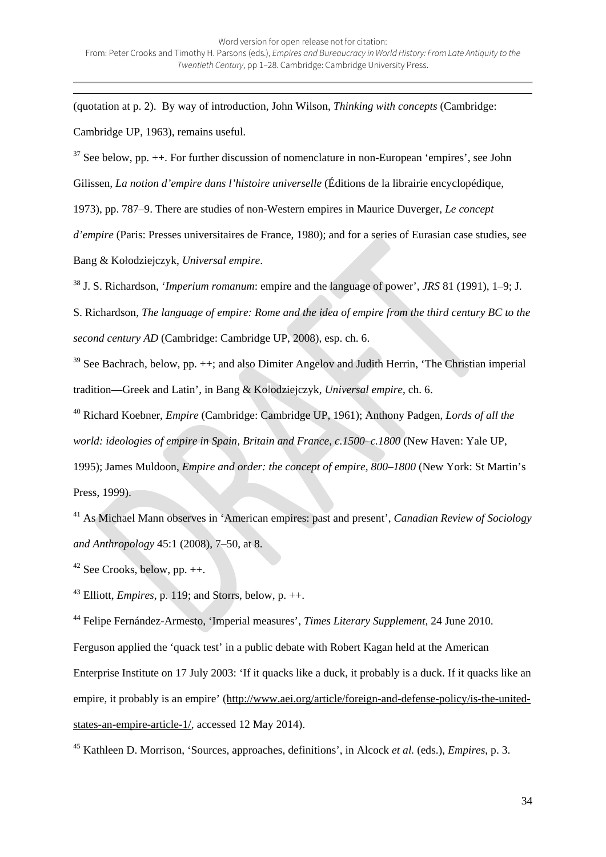-(quotation at p. 2). By way of introduction, John Wilson, *Thinking with concepts* (Cambridge: Cambridge UP, 1963), remains useful.

 $37$  See below, pp.  $++$ . For further discussion of nomenclature in non-European 'empires', see John

<span id="page-32-3"></span>Gilissen*, La notion d'empire dans l'histoire universelle* (Éditions de la librairie encyclopédique,

1973), pp. 787–9. There are studies of non-Western empires in Maurice Duverger, *Le concept* 

*d'empire* (Paris: Presses universitaires de France, 1980); and for a series of Eurasian case studies, see

Bang & Kołodziejczyk, *Universal empire*.

<sup>38</sup> J. S. Richardson, '*Imperium romanum*: empire and the language of power', *JRS* 81 (1991), 1–9; J.

S. Richardson, *The language of empire: Rome and the idea of empire from the third century BC to the second century AD* (Cambridge: Cambridge UP, 2008), esp. ch. 6.

 $39$  See Bachrach, below, pp.  $++$ ; and also Dimiter Angelov and Judith Herrin, 'The Christian imperial tradition—Greek and Latin', in Bang & Kołodziejczyk, *Universal empire*, ch. 6.

<sup>40</sup> Richard Koebner, *Empire* (Cambridge: Cambridge UP, 1961); Anthony Padgen, *Lords of all the* 

*world: ideologies of empire in Spain, Britain and France, c.1500–c.1800* (New Haven: Yale UP,

1995); James Muldoon, *Empire and order: the concept of empire, 800–1800* (New York: St Martin's Press, 1999).

<sup>41</sup> As Michael Mann observes in 'American empires: past and present', *Canadian Review of Sociology and Anthropology* 45:1 (2008), 7–50, at 8.

 $42$  See Crooks, below, pp.  $++$ .

<sup>43</sup> Elliott, *Empires*, p. 119; and Storrs, below, p. ++.

<sup>44</sup> Felipe Fernández-Armesto, 'Imperial measures', *Times Literary Supplement*, 24 June 2010.

<span id="page-32-0"></span>Ferguson applied the 'quack test' in a public debate with Robert Kagan held at the American

Enterprise Institute on 17 July 2003: 'If it quacks like a duck, it probably is a duck. If it quacks like an empire, it probably is an empire' [\(http://www.aei.org/article/foreign-and-defense-policy/is-the-united](http://www.aei.org/article/foreign-and-defense-policy/is-the-united-states-an-empire-article-1/)[states-an-empire-article-1/,](http://www.aei.org/article/foreign-and-defense-policy/is-the-united-states-an-empire-article-1/) accessed 12 May 2014).

<span id="page-32-2"></span><span id="page-32-1"></span><sup>45</sup> Kathleen D. Morrison, 'Sources, approaches, definitions', in Alcock *et al.* (eds.), *Empires*, p. 3.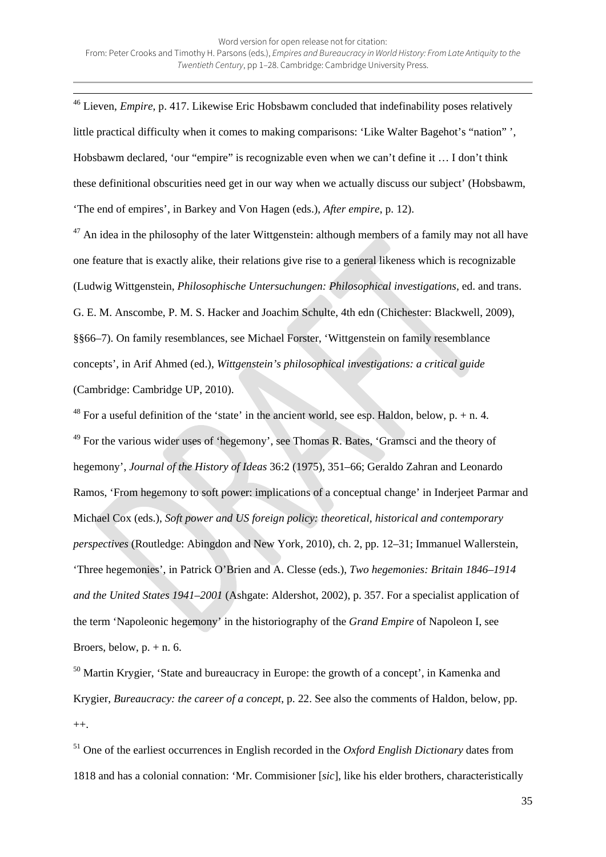-<sup>46</sup> Lieven, *Empire*, p. 417. Likewise Eric Hobsbawm concluded that indefinability poses relatively little practical difficulty when it comes to making comparisons: 'Like Walter Bagehot's "nation" ', Hobsbawm declared, 'our "empire" is recognizable even when we can't define it … I don't think these definitional obscurities need get in our way when we actually discuss our subject' (Hobsbawm, 'The end of empires', in Barkey and Von Hagen (eds.), *After empire*, p. 12).

<span id="page-33-5"></span> $47$  An idea in the philosophy of the later Wittgenstein: although members of a family may not all have one feature that is exactly alike, their relations give rise to a general likeness which is recognizable (Ludwig Wittgenstein, *Philosophische Untersuchungen: Philosophical investigations,* ed. and trans. G. E. M. Anscombe, P. M. S. Hacker and Joachim Schulte, 4th edn (Chichester: Blackwell, 2009), §§66–7). On family resemblances, see Michael Forster, 'Wittgenstein on family resemblance concepts', in Arif Ahmed (ed.), *Wittgenstein's philosophical investigations: a critical guide* (Cambridge: Cambridge UP, 2010).

<span id="page-33-1"></span><span id="page-33-0"></span><sup>48</sup> For a useful definition of the 'state' in the ancient world, see esp. Haldon, below, p.  $+$  n. 4.  $49$  For the various wider uses of 'hegemony', see Thomas R. Bates, 'Gramsci and the theory of hegemony', *Journal of the History of Ideas* 36:2 (1975), 351–66; Geraldo Zahran and Leonardo Ramos, 'From hegemony to soft power: implications of a conceptual change' in Inderjeet Parmar and Michael Cox (eds.), *Soft power and US foreign policy: theoretical, historical and contemporary perspectives* (Routledge: Abingdon and New York, 2010), ch. 2, pp. 12–31; Immanuel Wallerstein, 'Three hegemonies', in Patrick O'Brien and A. Clesse (eds.), *Two hegemonies: Britain 1846–1914 and the United States 1941–2001* (Ashgate: Aldershot, 2002), p. 357. For a specialist application of the term 'Napoleonic hegemony' in the historiography of the *Grand Empire* of Napoleon I, see Broers, below,  $p + n$ . 6.

<span id="page-33-4"></span><span id="page-33-3"></span><span id="page-33-2"></span><sup>50</sup> Martin Krygier, 'State and bureaucracy in Europe: the growth of a concept', in Kamenka and Krygier, *Bureaucracy: the career of a concept*, p. 22. See also the comments of Haldon, below, pp.  $++$ .

<sup>51</sup> One of the earliest occurrences in English recorded in the *Oxford English Dictionary* dates from 1818 and has a colonial connation: 'Mr. Commisioner [*sic*], like his elder brothers, characteristically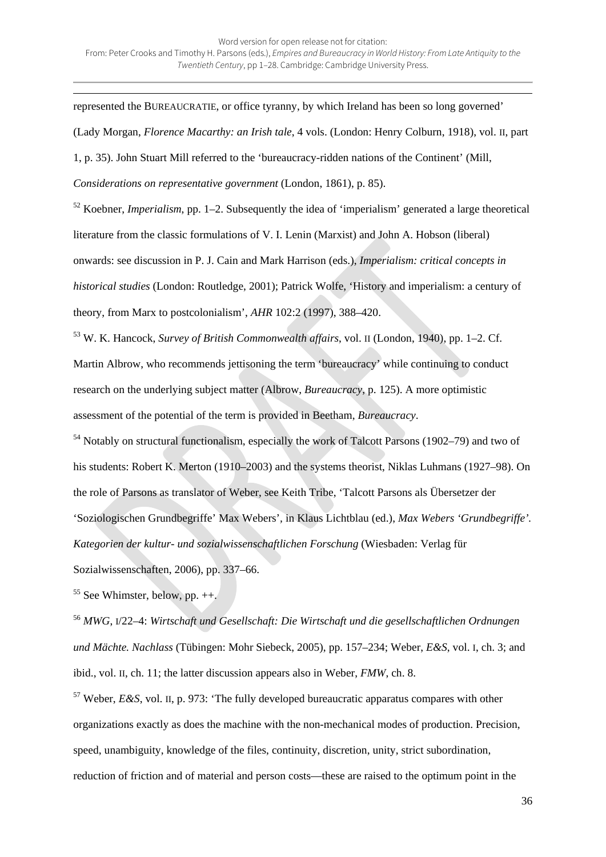represented the BUREAUCRATIE, or office tyranny, by which Ireland has been so long governed' (Lady Morgan, *[Florence Macarthy:](javascript:void(0)) an Irish tale*, 4 vols. (London: Henry Colburn, 1918), vol. II, part 1, p. 35). John Stuart Mill referred to the 'bureaucracy-ridden nations of the Continent' (Mill, *Considerations on representative government* (London, 1861), p. 85).

<span id="page-34-0"></span><sup>52</sup> Koebner, *Imperialism*, pp. 1–2. Subsequently the idea of 'imperialism' generated a large theoretical literature from the classic formulations of V. I. Lenin (Marxist) and John A. Hobson (liberal) onwards: see discussion in P. J. Cain and Mark Harrison (eds.), *Imperialism: critical concepts in historical studies* (London: Routledge, 2001); Patrick Wolfe, 'History and imperialism: a century of theory, from Marx to postcolonialism', *AHR* 102:2 (1997), 388–420.

<span id="page-34-1"></span><sup>53</sup> W. K. Hancock, *Survey of British Commonwealth affairs*, vol. II (London, 1940), pp. 1–2. Cf. Martin Albrow, who recommends jettisoning the term 'bureaucracy' while continuing to conduct research on the underlying subject matter (Albrow, *Bureaucracy*, p. 125). A more optimistic assessment of the potential of the term is provided in Beetham, *Bureaucracy*.

<span id="page-34-4"></span><span id="page-34-3"></span><span id="page-34-2"></span><sup>54</sup> Notably on structural functionalism, especially the work of Talcott Parsons (1902–79) and two of his students: Robert K. Merton (1910–2003) and the systems theorist, Niklas Luhmans (1927–98). On the role of Parsons as translator of Weber, see Keith Tribe, 'Talcott Parsons als Übersetzer der 'Soziologischen Grundbegriffe' Max Webers'*,* in Klaus Lichtblau (ed.), *Max Webers 'Grundbegriffe'. Kategorien der kultur- und sozialwissenschaftlichen Forschung* (Wiesbaden: Verlag für

Sozialwissenschaften, 2006), pp. 337–66.

 $55$  See Whimster, below, pp.  $++$ .

<sup>56</sup> *MWG*, I/22–4: *Wirtschaft und Gesellschaft: Die Wirtschaft und die gesellschaftlichen Ordnungen und Mächte. Nachlass* (Tübingen: Mohr Siebeck, 2005), pp. 157–234; Weber, *E&S*, vol. I, ch. 3; and ibid., vol. II, ch. 11; the latter discussion appears also in Weber, *FMW*, ch. 8.

<sup>57</sup> Weber, *E&S*, vol. II, p. 973: 'The fully developed bureaucratic apparatus compares with other organizations exactly as does the machine with the non-mechanical modes of production. Precision, speed, unambiguity, knowledge of the files, continuity, discretion, unity, strict subordination, reduction of friction and of material and person costs—these are raised to the optimum point in the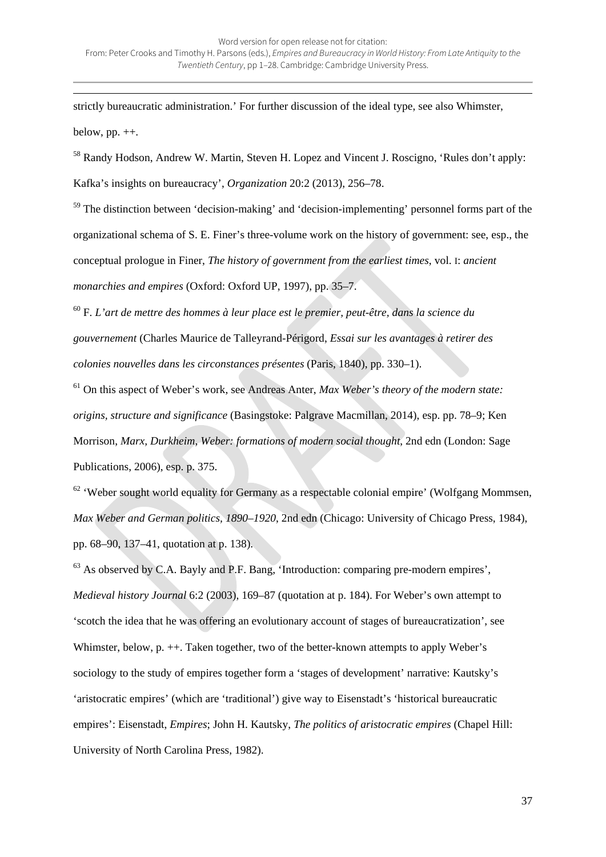strictly bureaucratic administration.' For further discussion of the ideal type, see also Whimster, below,  $pp. ++$ .

-

<span id="page-35-2"></span><sup>58</sup> Randy Hodson, Andrew W. Martin, Steven H. Lopez and Vincent J. Roscigno, 'Rules don't apply: Kafka's insights on bureaucracy', *Organization* 20:2 (2013), 256–78.

<sup>59</sup> The distinction between 'decision-making' and 'decision-implementing' personnel forms part of the organizational schema of S. E. Finer's three-volume work on the history of government: see, esp., the conceptual prologue in Finer, *The history of government from the earliest times*, vol. I: *ancient monarchies and empires* (Oxford: Oxford UP, 1997), pp. 35–7.

<span id="page-35-3"></span><sup>60</sup> F. *L'art de mettre des hommes à leur place est le premier, peut-être, dans la science du gouvernement* (Charles Maurice de Talleyrand-Périgord, *Essai sur les avantages à retirer des colonies nouvelles dans les circonstances présentes* (Paris, 1840), pp. 330–1).

<span id="page-35-4"></span><sup>61</sup> On this aspect of Weber's work, see Andreas Anter, *Max Weber's theory of the modern state: origins, structure and significance* (Basingstoke: Palgrave Macmillan, 2014), esp. pp. 78–9; Ken Morrison, *Marx, Durkheim, Weber: formations of modern social thought*, 2nd edn (London: Sage Publications, 2006), esp. p. 375.

 $62$  'Weber sought world equality for Germany as a respectable colonial empire' (Wolfgang Mommsen, *Max Weber and German politics, 1890–1920*, 2nd edn (Chicago: University of Chicago Press, 1984), pp. 68–90, 137–41, quotation at p. 138).

<span id="page-35-1"></span><span id="page-35-0"></span> $63$  As observed by C.A. Bayly and P.F. Bang, 'Introduction: comparing pre-modern empires', *Medieval history Journal* 6:2 (2003), 169–87 (quotation at p. 184). For Weber's own attempt to 'scotch the idea that he was offering an evolutionary account of stages of bureaucratization', see Whimster, below, p. ++. Taken together, two of the better-known attempts to apply Weber's sociology to the study of empires together form a 'stages of development' narrative: Kautsky's 'aristocratic empires' (which are 'traditional') give way to Eisenstadt's 'historical bureaucratic empires': Eisenstadt, *Empires*; John H. Kautsky, *The politics of aristocratic empires* (Chapel Hill: University of North Carolina Press, 1982).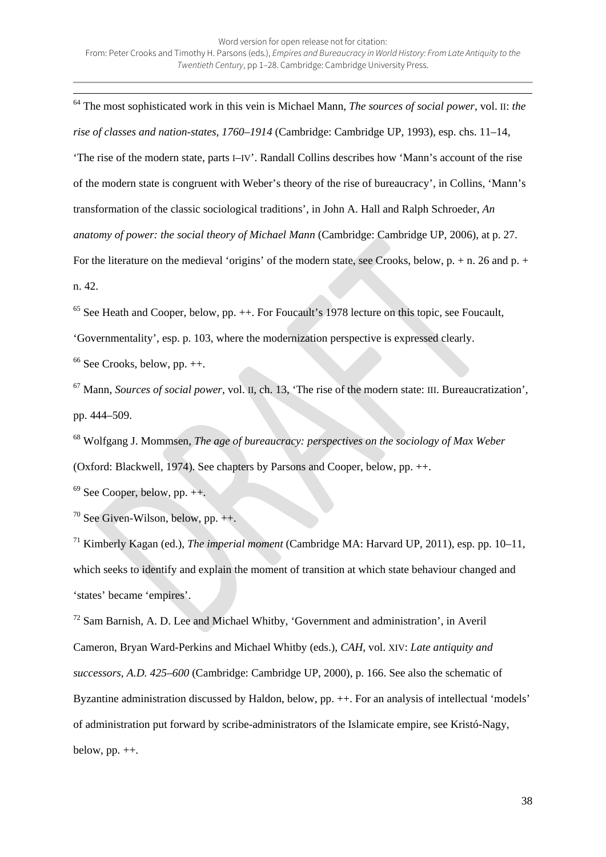<span id="page-36-6"></span>-<sup>64</sup> The most sophisticated work in this vein is Michael Mann, *The sources of social power*, vol. II: *the rise of classes and nation-states, 1760–1914* (Cambridge: Cambridge UP, 1993), esp. chs. 11–14, 'The rise of the modern state, parts I–IV'. Randall Collins describes how 'Mann's account of the rise of the modern state is congruent with Weber's theory of the rise of bureaucracy', in Collins, 'Mann's transformation of the classic sociological traditions', in John A. Hall and Ralph Schroeder, *An anatomy of power: the social theory of Michael Mann* (Cambridge: Cambridge UP, 2006), at p. 27. For the literature on the medieval 'origins' of the modern state, see Crooks, below, p. + n. 26 and p. + n. 42.

 $65$  See Heath and Cooper, below, pp.  $++$ . For Foucault's 1978 lecture on this topic, see Foucault,

'Governmentality', esp. p. 103, where the modernization perspective is expressed clearly.

 $66$  See Crooks, below, pp.  $++$ .

<sup>67</sup> Mann, *Sources of social power*, vol. II, ch. 13, 'The rise of the modern state: III. Bureaucratization', pp. 444–509.

<span id="page-36-0"></span><sup>68</sup> Wolfgang J. Mommsen, *The age of bureaucracy: perspectives on the sociology of Max Weber*  (Oxford: Blackwell, 1974). See chapters by Parsons and Cooper, below, pp. ++.

 $69$  See Cooper, below, pp.  $++$ .

<span id="page-36-1"></span> $70$  See Given-Wilson, below, pp.  $++$ .

<span id="page-36-2"></span><sup>71</sup> Kimberly Kagan (ed.), *The imperial moment* (Cambridge MA: Harvard UP, 2011), esp. pp. 10–11, which seeks to identify and explain the moment of transition at which state behaviour changed and 'states' became 'empires'.

<span id="page-36-5"></span><span id="page-36-4"></span><span id="page-36-3"></span> $72$  Sam Barnish, A. D. Lee and Michael Whitby, 'Government and administration', in Averil Cameron, Bryan Ward-Perkins and Michael Whitby (eds.), *CAH*, vol. XIV: *Late antiquity and successors, A.D. 425–600* (Cambridge: Cambridge UP, 2000), p. 166. See also the schematic of Byzantine administration discussed by Haldon, below, pp. ++. For an analysis of intellectual 'models' of administration put forward by scribe-administrators of the Islamicate empire, see Kristó-Nagy, below, pp. ++.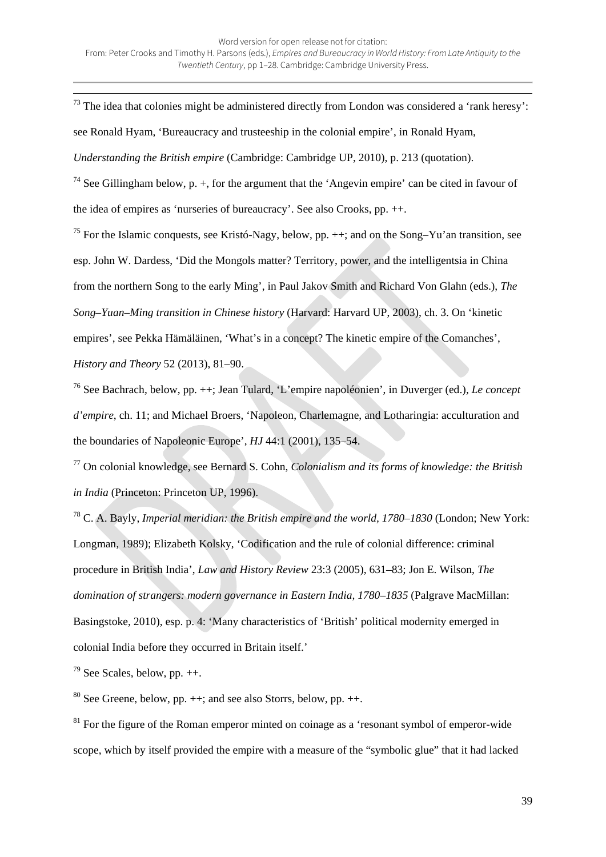- $73$  The idea that colonies might be administered directly from London was considered a 'rank heresy': see Ronald Hyam, 'Bureaucracy and trusteeship in the colonial empire', in Ronald Hyam,

*Understanding the British empire* (Cambridge: Cambridge UP, 2010), p. 213 (quotation).

<sup>74</sup> See Gillingham below, p.  $+$ , for the argument that the 'Angevin empire' can be cited in favour of the idea of empires as 'nurseries of bureaucracy'. See also Crooks, pp. ++.

<span id="page-37-0"></span><sup>75</sup> For the Islamic conquests, see Kristó-Nagy, below, pp.  $++$ ; and on the Song–Yu'an transition, see esp. John W. Dardess, 'Did the Mongols matter? Territory, power, and the intelligentsia in China from the northern Song to the early Ming', in Paul Jakov Smith and Richard Von Glahn (eds.), *The Song–Yuan–Ming transition in Chinese history* (Harvard: Harvard UP, 2003), ch. 3. On 'kinetic empires', see Pekka Hämäläinen, 'What's in a concept? The kinetic empire of the Comanches', *History and Theory* 52 (2013), 81–90.

<span id="page-37-1"></span><sup>76</sup> See Bachrach, below, pp. ++; Jean Tulard, 'L'empire napoléonien', in Duverger (ed.), *Le concept d'empire*, ch. 11; and Michael Broers, 'Napoleon, Charlemagne, and Lotharingia: acculturation and the boundaries of Napoleonic Europe', *HJ* 44:1 (2001), 135–54.

<sup>77</sup> On colonial knowledge, see Bernard S. Cohn, *Colonialism and its forms of knowledge: the British in India* (Princeton: Princeton UP, 1996).

<sup>78</sup> C. A. Bayly, *Imperial meridian: the British empire and the world, 1780–1830* (London; New York: Longman, 1989); Elizabeth Kolsky, 'Codification and the rule of colonial difference: criminal procedure in British India', *Law and History Review* 23:3 (2005), 631–83; Jon E. Wilson, *The domination of strangers: modern governance in Eastern India, 1780–1835* (Palgrave MacMillan: Basingstoke, 2010), esp. p. 4: 'Many characteristics of 'British' political modernity emerged in colonial India before they occurred in Britain itself.'

 $79$  See Scales, below, pp.  $++$ .

 $80$  See Greene, below, pp.  $++$ ; and see also Storrs, below, pp.  $++$ .

 $81$  For the figure of the Roman emperor minted on coinage as a 'resonant symbol of emperor-wide scope, which by itself provided the empire with a measure of the "symbolic glue" that it had lacked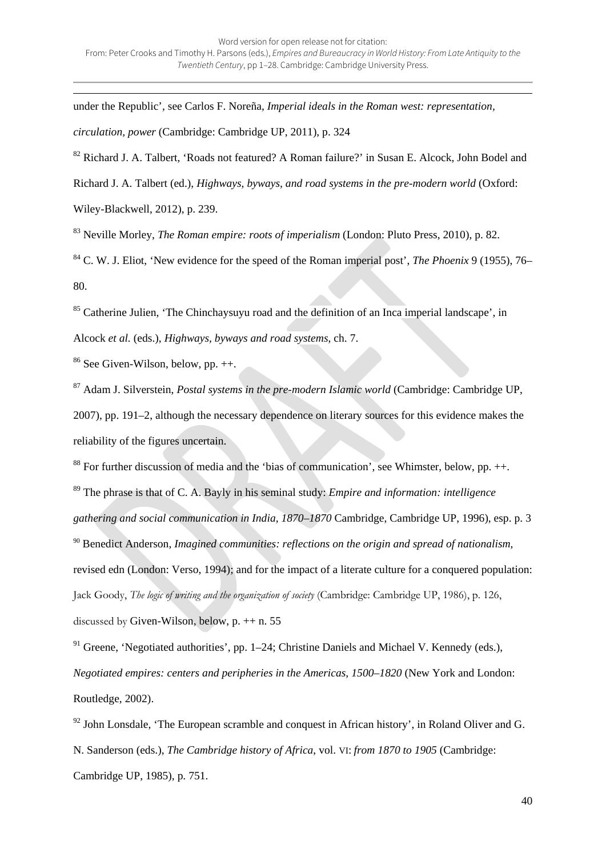under the Republic', see Carlos F. Noreña, *Imperial ideals in the Roman west: representation, circulation, power* (Cambridge: Cambridge UP, 2011), p. 324

<sup>82</sup> Richard J. A. Talbert, 'Roads not featured? A Roman failure?' in Susan E. Alcock, John Bodel and

Richard J. A. Talbert (ed.), *Highways, byways, and road systems in the pre-modern world* (Oxford:

<span id="page-38-3"></span>Wiley-Blackwell, 2012), p. 239.

<sup>83</sup> Neville Morley, *The Roman empire: roots of imperialism* (London: Pluto Press, 2010), p. 82.

<sup>84</sup> C. W. J. Eliot, 'New evidence for the speed of the Roman imperial post', *The Phoenix* 9 (1955), 76– 80.

<sup>85</sup> Catherine Julien, 'The Chinchaysuyu road and the definition of an Inca imperial landscape', in Alcock *et al.* (eds.), *Highways, byways and road systems*, ch. 7.

<span id="page-38-4"></span> $86$  See Given-Wilson, below, pp.  $++$ .

<sup>87</sup> Adam J. Silverstein, *Postal systems in the pre-modern Islamic world* (Cambridge: Cambridge UP, 2007), pp. 191–2, although the necessary dependence on literary sources for this evidence makes the reliability of the figures uncertain.

<span id="page-38-0"></span><sup>88</sup> For further discussion of media and the 'bias of communication', see Whimster, below, pp. ++.

<sup>89</sup> The phrase is that of C. A. Bayly in his seminal study: *Empire and information: intelligence* 

*gathering and social communication in India, 1870–1870* Cambridge, Cambridge UP, 1996), esp. p. 3

<sup>90</sup> Benedict Anderson, *Imagined communities: reflections on the origin and spread of nationalism*,

revised edn (London: Verso, 1994); and for the impact of a literate culture for a conquered population:

Jack Goody, *The logic of writing and the organization of society* (Cambridge: Cambridge UP, 1986), p. 126,

discussed by Given-Wilson, below, p. ++ n. 55

<span id="page-38-1"></span> $91$  Greene, 'Negotiated authorities', pp. 1–24; Christine Daniels and Michael V. Kennedy (eds.), *Negotiated empires: centers and peripheries in the Americas, 1500–1820* (New York and London: Routledge, 2002).

<span id="page-38-2"></span> $92$  John Lonsdale, 'The European scramble and conquest in African history', in Roland Oliver and G. N. Sanderson (eds.), *The Cambridge history of Africa*, vol. VI: *from 1870 to 1905* (Cambridge: Cambridge UP, 1985), p. 751.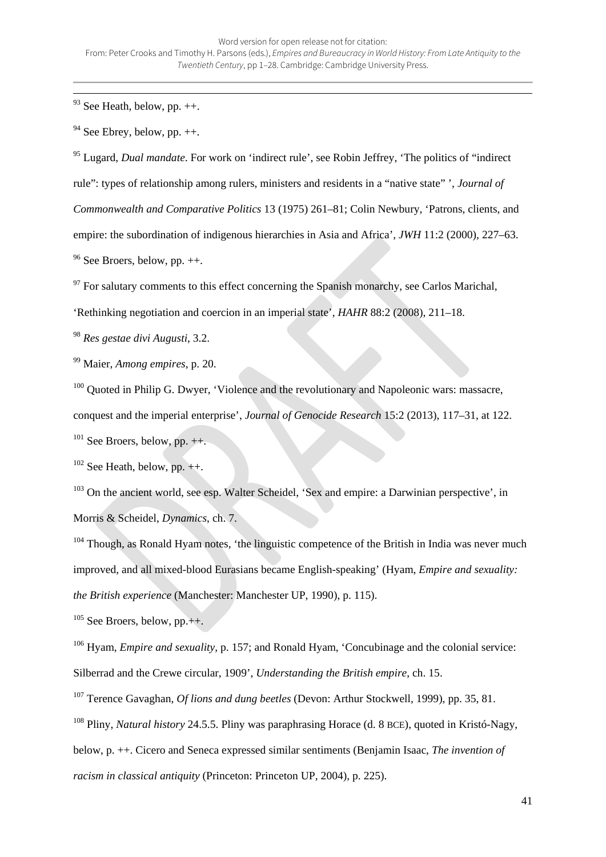$93$  See Heath, below, pp.  $++$ .

-

 $94$  See Ebrey, below, pp.  $++$ .

<span id="page-39-4"></span><span id="page-39-3"></span><sup>95</sup> Lugard, *Dual mandate*. For work on 'indirect rule', see Robin Jeffrey, 'The politics of "indirect rule": types of relationship among rulers, ministers and residents in a "native state" ', *Journal of Commonwealth and Comparative Politics* 13 (1975) 261–81; Colin Newbury, 'Patrons, clients, and empire: the subordination of indigenous hierarchies in Asia and Africa', *JWH* 11:2 (2000), 227–63.  $96$  See Broers, below, pp.  $++$ .

 $97$  For salutary comments to this effect concerning the Spanish monarchy, see Carlos Marichal,

'Rethinking negotiation and coercion in an imperial state', *HAHR* 88:2 (2008), 211–18.

<sup>98</sup> *Res gestae divi Augusti*, 3.2.

<sup>99</sup> Maier, *Among empires*, p. 20.

 $100$  Quoted in Philip G. Dwyer, 'Violence and the revolutionary and Napoleonic wars: massacre,

conquest and the imperial enterprise', *Journal of Genocide Research* 15:2 (2013), 117–31, at 122.

 $101$  See Broers, below, pp.  $++$ .

 $102$  See Heath, below, pp.  $++$ .

<sup>103</sup> On the ancient world, see esp. Walter Scheidel, 'Sex and empire: a Darwinian perspective', in Morris & Scheidel, *Dynamics*, ch. 7.

 $104$  Though, as Ronald Hyam notes, 'the linguistic competence of the British in India was never much improved, and all mixed-blood Eurasians became English-speaking' (Hyam, *Empire and sexuality: the British experience* (Manchester: Manchester UP, 1990), p. 115).

<span id="page-39-1"></span><span id="page-39-0"></span> $105$  See Broers, below, pp. + +.

<sup>106</sup> Hyam, *Empire and sexuality*, p. 157; and Ronald Hyam, 'Concubinage and the colonial service: Silberrad and the Crewe circular, 1909', *Understanding the British empire*, ch. 15.

<span id="page-39-2"></span><sup>107</sup> Terence Gavaghan, *Of lions and dung beetles* (Devon: Arthur Stockwell, 1999), pp. 35, 81.

<sup>108</sup> Pliny, *Natural history* 24.5.5. Pliny was paraphrasing Horace (d. 8 BCE), quoted in Kristó-Nagy,

below, p. ++. Cicero and Seneca expressed similar sentiments (Benjamin Isaac, *The invention of* 

*racism in classical antiquity* (Princeton: Princeton UP, 2004), p. 225).